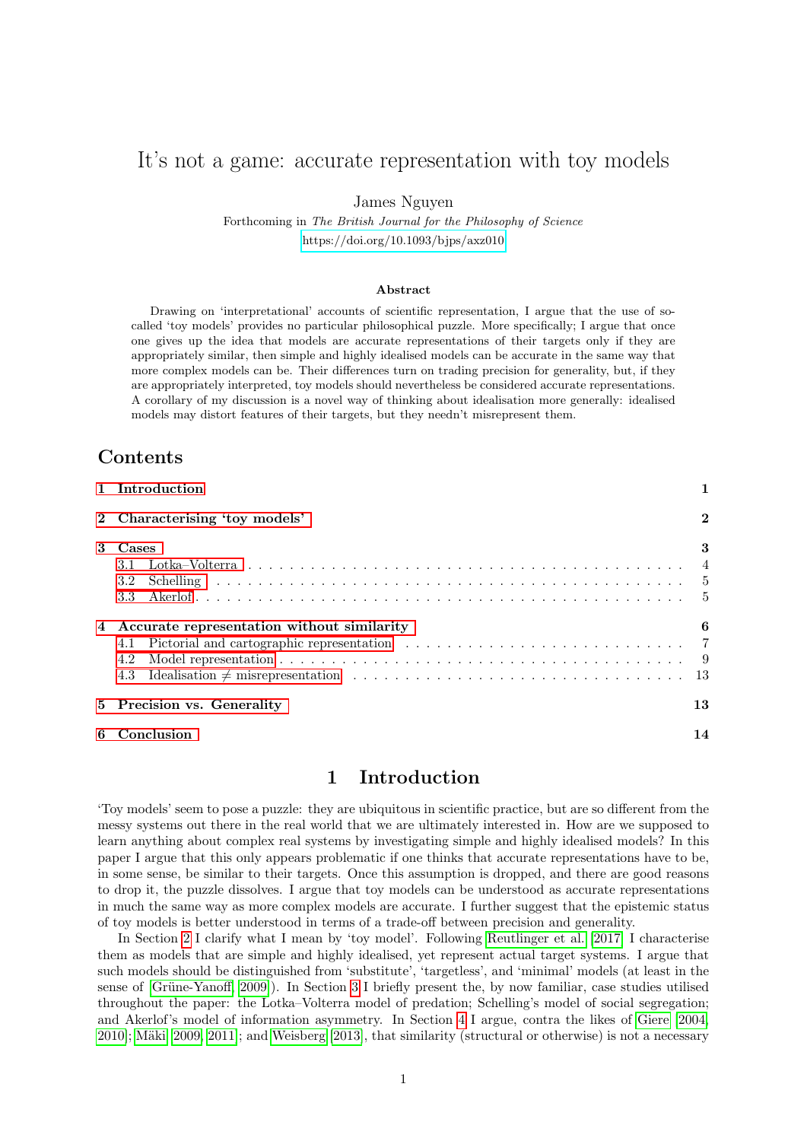# It's not a game: accurate representation with toy models

James Nguyen

Forthcoming in The British Journal for the Philosophy of Science <https://doi.org/10.1093/bjps/axz010>

#### Abstract

Drawing on 'interpretational' accounts of scientific representation, I argue that the use of socalled 'toy models' provides no particular philosophical puzzle. More specifically; I argue that once one gives up the idea that models are accurate representations of their targets only if they are appropriately similar, then simple and highly idealised models can be accurate in the same way that more complex models can be. Their differences turn on trading precision for generality, but, if they are appropriately interpreted, toy models should nevertheless be considered accurate representations. A corollary of my discussion is a novel way of thinking about idealisation more generally: idealised models may distort features of their targets, but they needn't misrepresent them.

# **Contents**

| 1 Introduction                                                                                                                                                           | 1              |
|--------------------------------------------------------------------------------------------------------------------------------------------------------------------------|----------------|
| 2 Characterising 'toy models'                                                                                                                                            | $\overline{2}$ |
| 3 Cases<br>3.2                                                                                                                                                           | 3              |
| 4 Accurate representation without similarity<br>4.1<br>Model representation $\ldots \ldots \ldots \ldots \ldots \ldots \ldots \ldots \ldots \ldots \ldots \ldots$<br>4.2 |                |
| 5 Precision vs. Generality                                                                                                                                               | 13             |
| 6 Conclusion                                                                                                                                                             | 14             |

### 1 Introduction

<span id="page-0-0"></span>'Toy models' seem to pose a puzzle: they are ubiquitous in scientific practice, but are so different from the messy systems out there in the real world that we are ultimately interested in. How are we supposed to learn anything about complex real systems by investigating simple and highly idealised models? In this paper I argue that this only appears problematic if one thinks that accurate representations have to be, in some sense, be similar to their targets. Once this assumption is dropped, and there are good reasons to drop it, the puzzle dissolves. I argue that toy models can be understood as accurate representations in much the same way as more complex models are accurate. I further suggest that the epistemic status of toy models is better understood in terms of a trade-off between precision and generality.

In Section [2](#page-1-0) I clarify what I mean by 'toy model'. Following [Reutlinger et al.](#page-15-0) [\[2017\]](#page-15-0) I characterise them as models that are simple and highly idealised, yet represent actual target systems. I argue that such models should be distinguished from 'substitute', 'targetless', and 'minimal' models (at least in the sense of [Grüne-Yanoff, 2009]). In Section [3](#page-2-0) I briefly present the, by now familiar, case studies utilised throughout the paper: the Lotka–Volterra model of predation; Schelling's model of social segregation; and Akerlof's model of information asymmetry. In Section [4](#page-5-0) I argue, contra the likes of [Giere](#page-14-0) [\[2004,](#page-14-0) [2010\]](#page-15-2); Mäki [\[2009,](#page-15-3) [2011\]](#page-15-4); and [Weisberg](#page-16-0) [\[2013\]](#page-16-0), that similarity (structural or otherwise) is not a necessary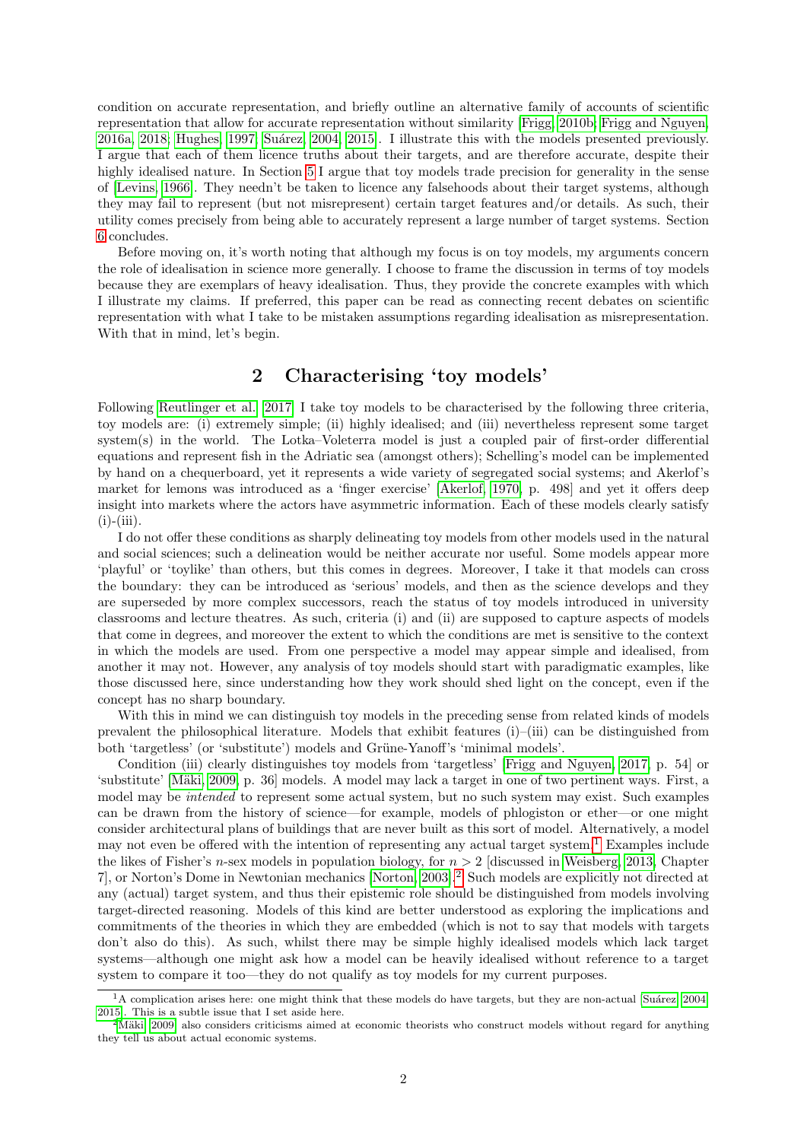condition on accurate representation, and briefly outline an alternative family of accounts of scientific representation that allow for accurate representation without similarity [\[Frigg, 2010b;](#page-14-1) [Frigg and Nguyen,](#page-14-2) [2016a,](#page-14-2) [2018;](#page-14-3) [Hughes, 1997;](#page-15-5) Suárez, 2004, [2015\]](#page-16-1). I illustrate this with the models presented previously. I argue that each of them licence truths about their targets, and are therefore accurate, despite their highly idealised nature. In Section [5](#page-12-1) I argue that toy models trade precision for generality in the sense of [\[Levins, 1966\]](#page-15-7). They needn't be taken to licence any falsehoods about their target systems, although they may fail to represent (but not misrepresent) certain target features and/or details. As such, their utility comes precisely from being able to accurately represent a large number of target systems. Section [6](#page-13-0) concludes.

Before moving on, it's worth noting that although my focus is on toy models, my arguments concern the role of idealisation in science more generally. I choose to frame the discussion in terms of toy models because they are exemplars of heavy idealisation. Thus, they provide the concrete examples with which I illustrate my claims. If preferred, this paper can be read as connecting recent debates on scientific representation with what I take to be mistaken assumptions regarding idealisation as misrepresentation. With that in mind, let's begin.

### 2 Characterising 'toy models'

<span id="page-1-0"></span>Following [Reutlinger et al.](#page-15-0) [\[2017\]](#page-15-0) I take toy models to be characterised by the following three criteria, toy models are: (i) extremely simple; (ii) highly idealised; and (iii) nevertheless represent some target system(s) in the world. The Lotka–Voleterra model is just a coupled pair of first-order differential equations and represent fish in the Adriatic sea (amongst others); Schelling's model can be implemented by hand on a chequerboard, yet it represents a wide variety of segregated social systems; and Akerlof's market for lemons was introduced as a 'finger exercise' [\[Akerlof, 1970,](#page-14-4) p. 498] and yet it offers deep insight into markets where the actors have asymmetric information. Each of these models clearly satisfy  $(i)$ - $(iii)$ .

I do not offer these conditions as sharply delineating toy models from other models used in the natural and social sciences; such a delineation would be neither accurate nor useful. Some models appear more 'playful' or 'toylike' than others, but this comes in degrees. Moreover, I take it that models can cross the boundary: they can be introduced as 'serious' models, and then as the science develops and they are superseded by more complex successors, reach the status of toy models introduced in university classrooms and lecture theatres. As such, criteria (i) and (ii) are supposed to capture aspects of models that come in degrees, and moreover the extent to which the conditions are met is sensitive to the context in which the models are used. From one perspective a model may appear simple and idealised, from another it may not. However, any analysis of toy models should start with paradigmatic examples, like those discussed here, since understanding how they work should shed light on the concept, even if the concept has no sharp boundary.

With this in mind we can distinguish toy models in the preceding sense from related kinds of models prevalent the philosophical literature. Models that exhibit features (i)–(iii) can be distinguished from both 'targetless' (or 'substitute') models and Grüne-Yanoff's 'minimal models'.

Condition (iii) clearly distinguishes toy models from 'targetless' [\[Frigg and Nguyen, 2017,](#page-14-5) p. 54] or 'substitute' [\[M¨aki, 2009,](#page-15-3) p. 36] models. A model may lack a target in one of two pertinent ways. First, a model may be intended to represent some actual system, but no such system may exist. Such examples can be drawn from the history of science—for example, models of phlogiston or ether—or one might consider architectural plans of buildings that are never built as this sort of model. Alternatively, a model may not even be offered with the intention of representing any actual target system.[1](#page-1-1) Examples include the likes of Fisher's n-sex models in population biology, for  $n > 2$  [discussed in [Weisberg, 2013,](#page-16-0) Chapter 7], or Norton's Dome in Newtonian mechanics [\[Norton, 2003\]](#page-15-8).[2](#page-1-2) Such models are explicitly not directed at any (actual) target system, and thus their epistemic role should be distinguished from models involving target-directed reasoning. Models of this kind are better understood as exploring the implications and commitments of the theories in which they are embedded (which is not to say that models with targets don't also do this). As such, whilst there may be simple highly idealised models which lack target systems—although one might ask how a model can be heavily idealised without reference to a target system to compare it too—they do not qualify as toy models for my current purposes.

<span id="page-1-1"></span> $1A$  complication arises here: one might think that these models do have targets, but they are non-actual [Suárez, 2004, [2015\]](#page-16-1). This is a subtle issue that I set aside here.

<span id="page-1-2"></span> $2$ Mäki [\[2009\]](#page-15-3) also considers criticisms aimed at economic theorists who construct models without regard for anything they tell us about actual economic systems.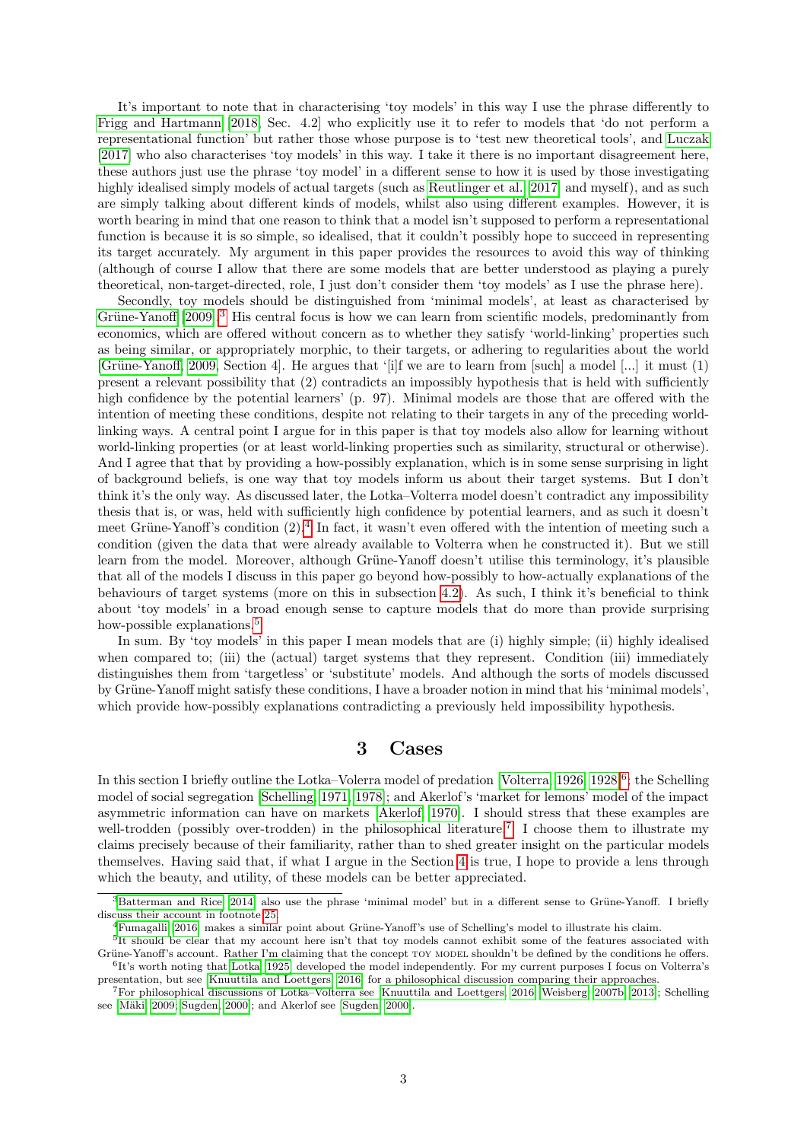It's important to note that in characterising 'toy models' in this way I use the phrase differently to [Frigg and Hartmann](#page-14-6) [\[2018,](#page-14-6) Sec. 4.2] who explicitly use it to refer to models that 'do not perform a representational function' but rather those whose purpose is to 'test new theoretical tools', and [Luczak](#page-15-9) [\[2017\]](#page-15-9) who also characterises 'toy models' in this way. I take it there is no important disagreement here, these authors just use the phrase 'toy model' in a different sense to how it is used by those investigating highly idealised simply models of actual targets (such as [Reutlinger et al.](#page-15-0) [\[2017\]](#page-15-0) and myself), and as such are simply talking about different kinds of models, whilst also using different examples. However, it is worth bearing in mind that one reason to think that a model isn't supposed to perform a representational function is because it is so simple, so idealised, that it couldn't possibly hope to succeed in representing its target accurately. My argument in this paper provides the resources to avoid this way of thinking (although of course I allow that there are some models that are better understood as playing a purely theoretical, non-target-directed, role, I just don't consider them 'toy models' as I use the phrase here).

Secondly, toy models should be distinguished from 'minimal models', at least as characterised by Grüne-Yanoff [\[2009\]](#page-15-1).<sup>[3](#page-2-1)</sup> His central focus is how we can learn from scientific models, predominantly from economics, which are offered without concern as to whether they satisfy 'world-linking' properties such as being similar, or appropriately morphic, to their targets, or adhering to regularities about the world [Grüne-Yanoff, 2009, Section 4]. He argues that '[i]f we are to learn from [such] a model [...] it must (1) present a relevant possibility that (2) contradicts an impossibly hypothesis that is held with sufficiently high confidence by the potential learners' (p. 97). Minimal models are those that are offered with the intention of meeting these conditions, despite not relating to their targets in any of the preceding worldlinking ways. A central point I argue for in this paper is that toy models also allow for learning without world-linking properties (or at least world-linking properties such as similarity, structural or otherwise). And I agree that that by providing a how-possibly explanation, which is in some sense surprising in light of background beliefs, is one way that toy models inform us about their target systems. But I don't think it's the only way. As discussed later, the Lotka–Volterra model doesn't contradict any impossibility thesis that is, or was, held with sufficiently high confidence by potential learners, and as such it doesn't meet Grüne-Yanoff's condition  $(2)$ .<sup>[4](#page-2-2)</sup> In fact, it wasn't even offered with the intention of meeting such a condition (given the data that were already available to Volterra when he constructed it). But we still learn from the model. Moreover, although Grüne-Yanoff doesn't utilise this terminology, it's plausible that all of the models I discuss in this paper go beyond how-possibly to how-actually explanations of the behaviours of target systems (more on this in subsection [4.2\)](#page-8-0). As such, I think it's beneficial to think about 'toy models' in a broad enough sense to capture models that do more than provide surprising how-possible explanations.<sup>[5](#page-2-3)</sup>

In sum. By 'toy models' in this paper I mean models that are (i) highly simple; (ii) highly idealised when compared to; (iii) the (actual) target systems that they represent. Condition (iii) immediately distinguishes them from 'targetless' or 'substitute' models. And although the sorts of models discussed by Grüne-Yanoff might satisfy these conditions, I have a broader notion in mind that his 'minimal models', which provide how-possibly explanations contradicting a previously held impossibility hypothesis.

### 3 Cases

<span id="page-2-0"></span>In this section I briefly outline the Lotka–Volerra model of predation [\[Volterra, 1926,](#page-16-2) [1928\]](#page-16-3)<sup>[6](#page-2-4)</sup>; the Schelling model of social segregation [\[Schelling, 1971,](#page-15-10) [1978\]](#page-15-11); and Akerlof's 'market for lemons' model of the impact asymmetric information can have on markets [\[Akerlof, 1970\]](#page-14-4). I should stress that these examples are well-trodden (possibly over-trodden) in the philosophical literature.<sup>[7](#page-2-5)</sup> I choose them to illustrate my claims precisely because of their familiarity, rather than to shed greater insight on the particular models themselves. Having said that, if what I argue in the Section [4](#page-5-0) is true, I hope to provide a lens through which the beauty, and utility, of these models can be better appreciated.

<span id="page-2-1"></span> $3$ [Batterman and Rice](#page-14-7) [\[2014\]](#page-14-7) also use the phrase 'minimal model' but in a different sense to Grüne-Yanoff. I briefly discuss their account in footnote [25.](#page-13-1)

<span id="page-2-3"></span><span id="page-2-2"></span> $^{4}$ [Fumagalli](#page-14-8) [\[2016\]](#page-14-8) makes a similar point about Grüne-Yanoff's use of Schelling's model to illustrate his claim.

<span id="page-2-4"></span><sup>&</sup>lt;sup>5</sup>It should be clear that my account here isn't that toy models cannot exhibit some of the features associated with Grüne-Yanoff's account. Rather I'm claiming that the concept TOY MODEL shouldn't be defined by the conditions he offers. 6 It's worth noting that [Lotka](#page-15-12) [\[1925\]](#page-15-12) developed the model independently. For my current purposes I focus on Volterra's presentation, but see [\[Knuuttila and Loettgers, 2016\]](#page-15-13) for a philosophical discussion comparing their approaches.

<span id="page-2-5"></span><sup>7</sup>For philosophical discussions of Lotka–Volterra see [\[Knuuttila and Loettgers, 2016;](#page-15-13) [Weisberg, 2007b,](#page-16-4) [2013\]](#page-16-0); Schelling see [Mäki, 2009; [Sugden, 2000\]](#page-16-5); and Akerlof see [\[Sugden, 2000\]](#page-16-5).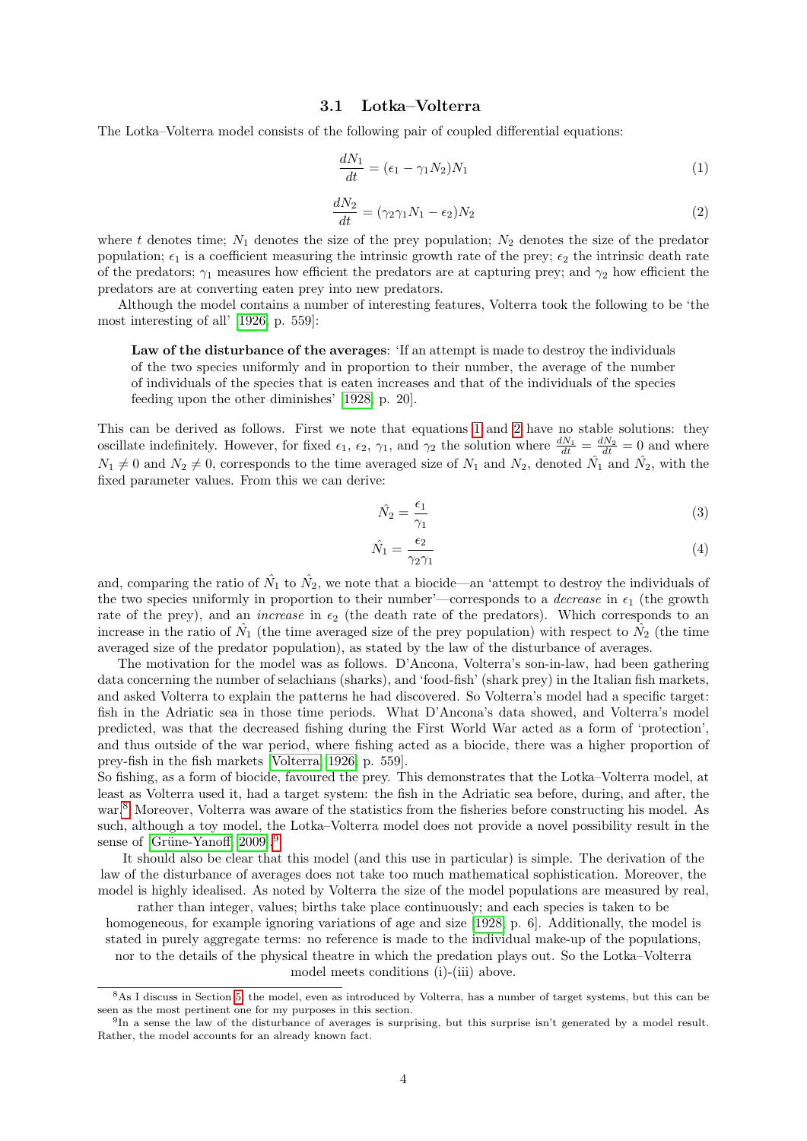#### 3.1 Lotka–Volterra

<span id="page-3-0"></span>The Lotka–Volterra model consists of the following pair of coupled differential equations:

<span id="page-3-1"></span>
$$
\frac{dN_1}{dt} = (\epsilon_1 - \gamma_1 N_2) N_1 \tag{1}
$$

<span id="page-3-2"></span>
$$
\frac{dN_2}{dt} = (\gamma_2 \gamma_1 N_1 - \epsilon_2) N_2 \tag{2}
$$

where t denotes time;  $N_1$  denotes the size of the prey population;  $N_2$  denotes the size of the predator population;  $\epsilon_1$  is a coefficient measuring the intrinsic growth rate of the prey;  $\epsilon_2$  the intrinsic death rate of the predators;  $\gamma_1$  measures how efficient the predators are at capturing prey; and  $\gamma_2$  how efficient the predators are at converting eaten prey into new predators.

Although the model contains a number of interesting features, Volterra took the following to be 'the most interesting of all' [\[1926,](#page-16-2) p. 559]:

Law of the disturbance of the averages: 'If an attempt is made to destroy the individuals of the two species uniformly and in proportion to their number, the average of the number of individuals of the species that is eaten increases and that of the individuals of the species feeding upon the other diminishes' [\[1928,](#page-16-3) p. 20].

This can be derived as follows. First we note that equations [1](#page-3-1) and [2](#page-3-2) have no stable solutions: they oscillate indefinitely. However, for fixed  $\epsilon_1$ ,  $\epsilon_2$ ,  $\gamma_1$ , and  $\gamma_2$  the solution where  $\frac{dN_1}{dt} = \frac{dN_2}{dt} = 0$  and where  $N_1 \neq 0$  and  $N_2 \neq 0$ , corresponds to the time averaged size of  $N_1$  and  $N_2$ , denoted  $\hat{N_1}$  and  $\hat{N_2}$ , with the fixed parameter values. From this we can derive:

$$
\hat{N}_2 = \frac{\epsilon_1}{\gamma_1} \tag{3}
$$

$$
\hat{N}_1 = \frac{\epsilon_2}{\gamma_2 \gamma_1} \tag{4}
$$

and, comparing the ratio of  $\hat{N}_1$  to  $\hat{N}_2$ , we note that a biocide—an 'attempt to destroy the individuals of the two species uniformly in proportion to their number'—corresponds to a *decrease* in  $\epsilon_1$  (the growth rate of the prey), and an *increase* in  $\epsilon_2$  (the death rate of the predators). Which corresponds to an increase in the ratio of  $\hat{N}_1$  (the time averaged size of the prey population) with respect to  $\hat{N}_2$  (the time averaged size of the predator population), as stated by the law of the disturbance of averages.

The motivation for the model was as follows. D'Ancona, Volterra's son-in-law, had been gathering data concerning the number of selachians (sharks), and 'food-fish' (shark prey) in the Italian fish markets, and asked Volterra to explain the patterns he had discovered. So Volterra's model had a specific target: fish in the Adriatic sea in those time periods. What D'Ancona's data showed, and Volterra's model predicted, was that the decreased fishing during the First World War acted as a form of 'protection', and thus outside of the war period, where fishing acted as a biocide, there was a higher proportion of prey-fish in the fish markets [\[Volterra, 1926,](#page-16-2) p. 559].

So fishing, as a form of biocide, favoured the prey. This demonstrates that the Lotka–Volterra model, at least as Volterra used it, had a target system: the fish in the Adriatic sea before, during, and after, the war.<sup>[8](#page-3-3)</sup> Moreover, Volterra was aware of the statistics from the fisheries before constructing his model. As such, although a toy model, the Lotka–Volterra model does not provide a novel possibility result in the sense of [Grüne-Yanoff, 200[9](#page-3-4)].<sup>9</sup>

It should also be clear that this model (and this use in particular) is simple. The derivation of the law of the disturbance of averages does not take too much mathematical sophistication. Moreover, the model is highly idealised. As noted by Volterra the size of the model populations are measured by real,

rather than integer, values; births take place continuously; and each species is taken to be homogeneous, for example ignoring variations of age and size [\[1928,](#page-16-3) p. 6]. Additionally, the model is stated in purely aggregate terms: no reference is made to the individual make-up of the populations, nor to the details of the physical theatre in which the predation plays out. So the Lotka–Volterra model meets conditions (i)-(iii) above.

<span id="page-3-3"></span><sup>8</sup>As I discuss in Section [5,](#page-12-1) the model, even as introduced by Volterra, has a number of target systems, but this can be seen as the most pertinent one for my purposes in this section.

<span id="page-3-4"></span><sup>&</sup>lt;sup>9</sup>In a sense the law of the disturbance of averages is surprising, but this surprise isn't generated by a model result. Rather, the model accounts for an already known fact.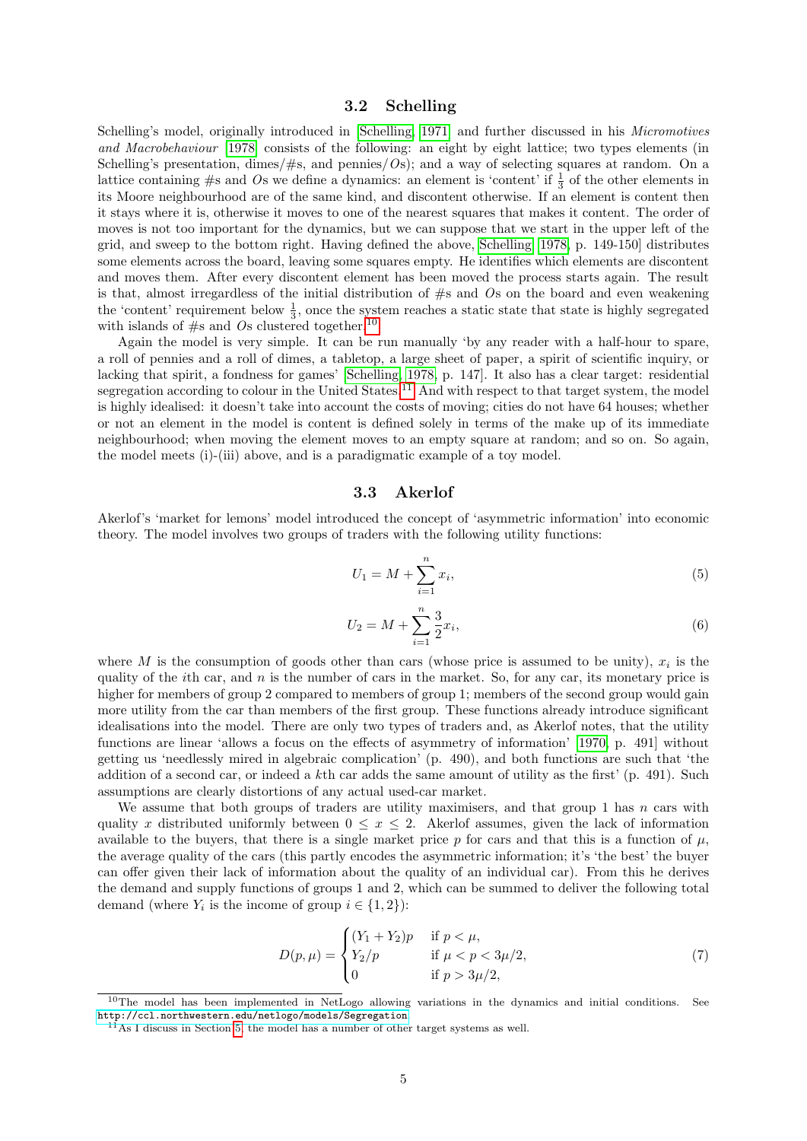### 3.2 Schelling

<span id="page-4-0"></span>Schelling's model, originally introduced in [\[Schelling, 1971\]](#page-15-10) and further discussed in his Micromotives and Macrobehaviour [\[1978\]](#page-15-11) consists of the following: an eight by eight lattice; two types elements (in Schelling's presentation, dimes/ $\#s$ , and pennies/ $OS$ ; and a way of selecting squares at random. On a lattice containing  $\#s$  and Os we define a dynamics: an element is 'content' if  $\frac{1}{3}$  of the other elements in its Moore neighbourhood are of the same kind, and discontent otherwise. If an element is content then it stays where it is, otherwise it moves to one of the nearest squares that makes it content. The order of moves is not too important for the dynamics, but we can suppose that we start in the upper left of the grid, and sweep to the bottom right. Having defined the above, [Schelling](#page-15-11) [\[1978,](#page-15-11) p. 149-150] distributes some elements across the board, leaving some squares empty. He identifies which elements are discontent and moves them. After every discontent element has been moved the process starts again. The result is that, almost irregardless of the initial distribution of  $#s$  and  $\overline{Os}$  on the board and even weakening the 'content' requirement below  $\frac{1}{3}$ , once the system reaches a static state that state is highly segregated with islands of  $\#s$  and  $Os$  clustered together.<sup>[10](#page-4-2)</sup>

Again the model is very simple. It can be run manually 'by any reader with a half-hour to spare, a roll of pennies and a roll of dimes, a tabletop, a large sheet of paper, a spirit of scientific inquiry, or lacking that spirit, a fondness for games' [\[Schelling, 1978,](#page-15-11) p. 147]. It also has a clear target: residential segregation according to colour in the United States.<sup>[11](#page-4-3)</sup> And with respect to that target system, the model is highly idealised: it doesn't take into account the costs of moving; cities do not have 64 houses; whether or not an element in the model is content is defined solely in terms of the make up of its immediate neighbourhood; when moving the element moves to an empty square at random; and so on. So again, the model meets (i)-(iii) above, and is a paradigmatic example of a toy model.

#### 3.3 Akerlof

<span id="page-4-1"></span>Akerlof's 'market for lemons' model introduced the concept of 'asymmetric information' into economic theory. The model involves two groups of traders with the following utility functions:

$$
U_1 = M + \sum_{i=1}^{n} x_i,
$$
\n(5)

$$
U_2 = M + \sum_{i=1}^{n} \frac{3}{2} x_i,
$$
\n(6)

where M is the consumption of goods other than cars (whose price is assumed to be unity),  $x_i$  is the quality of the *i*th car, and  $n$  is the number of cars in the market. So, for any car, its monetary price is higher for members of group 2 compared to members of group 1; members of the second group would gain more utility from the car than members of the first group. These functions already introduce significant idealisations into the model. There are only two types of traders and, as Akerlof notes, that the utility functions are linear 'allows a focus on the effects of asymmetry of information' [\[1970,](#page-14-4) p. 491] without getting us 'needlessly mired in algebraic complication' (p. 490), and both functions are such that 'the addition of a second car, or indeed a kth car adds the same amount of utility as the first' (p. 491). Such assumptions are clearly distortions of any actual used-car market.

We assume that both groups of traders are utility maximisers, and that group 1 has  $n$  cars with quality x distributed uniformly between  $0 \leq x \leq 2$ . Akerlof assumes, given the lack of information available to the buyers, that there is a single market price p for cars and that this is a function of  $\mu$ . the average quality of the cars (this partly encodes the asymmetric information; it's 'the best' the buyer can offer given their lack of information about the quality of an individual car). From this he derives the demand and supply functions of groups 1 and 2, which can be summed to deliver the following total demand (where  $Y_i$  is the income of group  $i \in \{1, 2\}$ ):

$$
D(p,\mu) = \begin{cases} (Y_1 + Y_2)p & \text{if } p < \mu, \\ Y_2/p & \text{if } \mu < p < 3\mu/2, \\ 0 & \text{if } p > 3\mu/2, \end{cases}
$$
 (7)

<span id="page-4-2"></span> $10$ The model has been implemented in NetLogo allowing variations in the dynamics and initial conditions. See <http://ccl.northwestern.edu/netlogo/models/Segregation>.

<span id="page-4-3"></span> $11$ As I discuss in Section [5,](#page-12-1) the model has a number of other target systems as well.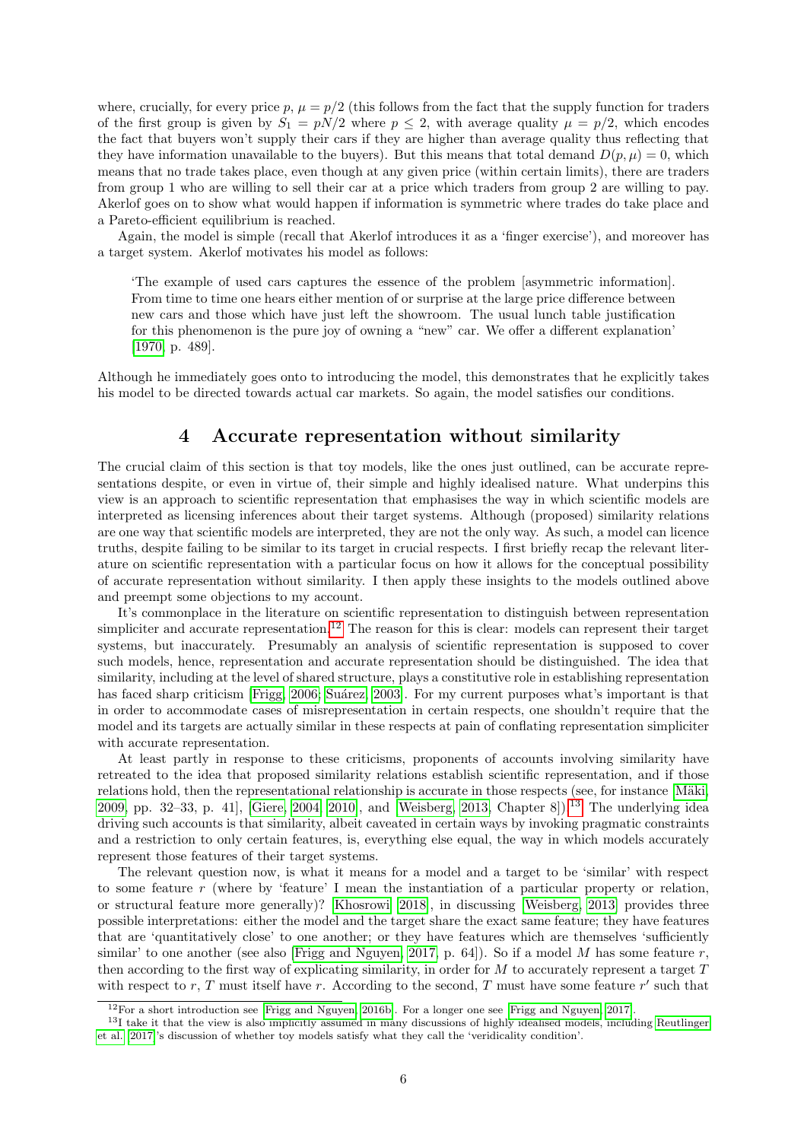where, crucially, for every price p,  $\mu = p/2$  (this follows from the fact that the supply function for traders of the first group is given by  $S_1 = pN/2$  where  $p \le 2$ , with average quality  $\mu = p/2$ , which encodes the fact that buyers won't supply their cars if they are higher than average quality thus reflecting that they have information unavailable to the buyers). But this means that total demand  $D(p, \mu) = 0$ , which means that no trade takes place, even though at any given price (within certain limits), there are traders from group 1 who are willing to sell their car at a price which traders from group 2 are willing to pay. Akerlof goes on to show what would happen if information is symmetric where trades do take place and a Pareto-efficient equilibrium is reached.

Again, the model is simple (recall that Akerlof introduces it as a 'finger exercise'), and moreover has a target system. Akerlof motivates his model as follows:

'The example of used cars captures the essence of the problem [asymmetric information]. From time to time one hears either mention of or surprise at the large price difference between new cars and those which have just left the showroom. The usual lunch table justification for this phenomenon is the pure joy of owning a "new" car. We offer a different explanation' [\[1970,](#page-14-4) p. 489].

Although he immediately goes onto to introducing the model, this demonstrates that he explicitly takes his model to be directed towards actual car markets. So again, the model satisfies our conditions.

# 4 Accurate representation without similarity

<span id="page-5-0"></span>The crucial claim of this section is that toy models, like the ones just outlined, can be accurate representations despite, or even in virtue of, their simple and highly idealised nature. What underpins this view is an approach to scientific representation that emphasises the way in which scientific models are interpreted as licensing inferences about their target systems. Although (proposed) similarity relations are one way that scientific models are interpreted, they are not the only way. As such, a model can licence truths, despite failing to be similar to its target in crucial respects. I first briefly recap the relevant literature on scientific representation with a particular focus on how it allows for the conceptual possibility of accurate representation without similarity. I then apply these insights to the models outlined above and preempt some objections to my account.

It's commonplace in the literature on scientific representation to distinguish between representation simpliciter and accurate representation.<sup>[12](#page-5-1)</sup> The reason for this is clear: models can represent their target systems, but inaccurately. Presumably an analysis of scientific representation is supposed to cover such models, hence, representation and accurate representation should be distinguished. The idea that similarity, including at the level of shared structure, plays a constitutive role in establishing representation has faced sharp criticism [\[Frigg, 2006;](#page-14-9) Suárez, 2003]. For my current purposes what's important is that in order to accommodate cases of misrepresentation in certain respects, one shouldn't require that the model and its targets are actually similar in these respects at pain of conflating representation simpliciter with accurate representation.

At least partly in response to these criticisms, proponents of accounts involving similarity have retreated to the idea that proposed similarity relations establish scientific representation, and if those relations hold, then the representational relationship is accurate in those respects (see, for instance [Mäki, [2009,](#page-15-3) pp. 32–33, p. 41], [\[Giere, 2004,](#page-14-0) [2010\]](#page-15-2), and [\[Weisberg, 2013,](#page-16-0) Chapter 8]).<sup>[13](#page-5-2)</sup> The underlying idea driving such accounts is that similarity, albeit caveated in certain ways by invoking pragmatic constraints and a restriction to only certain features, is, everything else equal, the way in which models accurately represent those features of their target systems.

The relevant question now, is what it means for a model and a target to be 'similar' with respect to some feature r (where by 'feature' I mean the instantiation of a particular property or relation, or structural feature more generally)? [Khosrowi](#page-15-15) [\[2018\]](#page-15-15), in discussing [\[Weisberg, 2013\]](#page-16-0) provides three possible interpretations: either the model and the target share the exact same feature; they have features that are 'quantitatively close' to one another; or they have features which are themselves 'sufficiently similar' to one another (see also [\[Frigg and Nguyen, 2017,](#page-14-5) p. 64]). So if a model M has some feature r, then according to the first way of explicating similarity, in order for  $M$  to accurately represent a target  $T$ with respect to r, T must itself have r. According to the second, T must have some feature  $r'$  such that

<span id="page-5-2"></span><span id="page-5-1"></span><sup>12</sup>For a short introduction see [\[Frigg and Nguyen, 2016b\]](#page-14-10). For a longer one see [\[Frigg and Nguyen, 2017\]](#page-14-5).

<sup>&</sup>lt;sup>13</sup>I take it that the view is also implicitly assumed in many discussions of highly idealised models, including [Reutlinger](#page-15-0) [et al.](#page-15-0) [\[2017\]](#page-15-0)'s discussion of whether toy models satisfy what they call the 'veridicality condition'.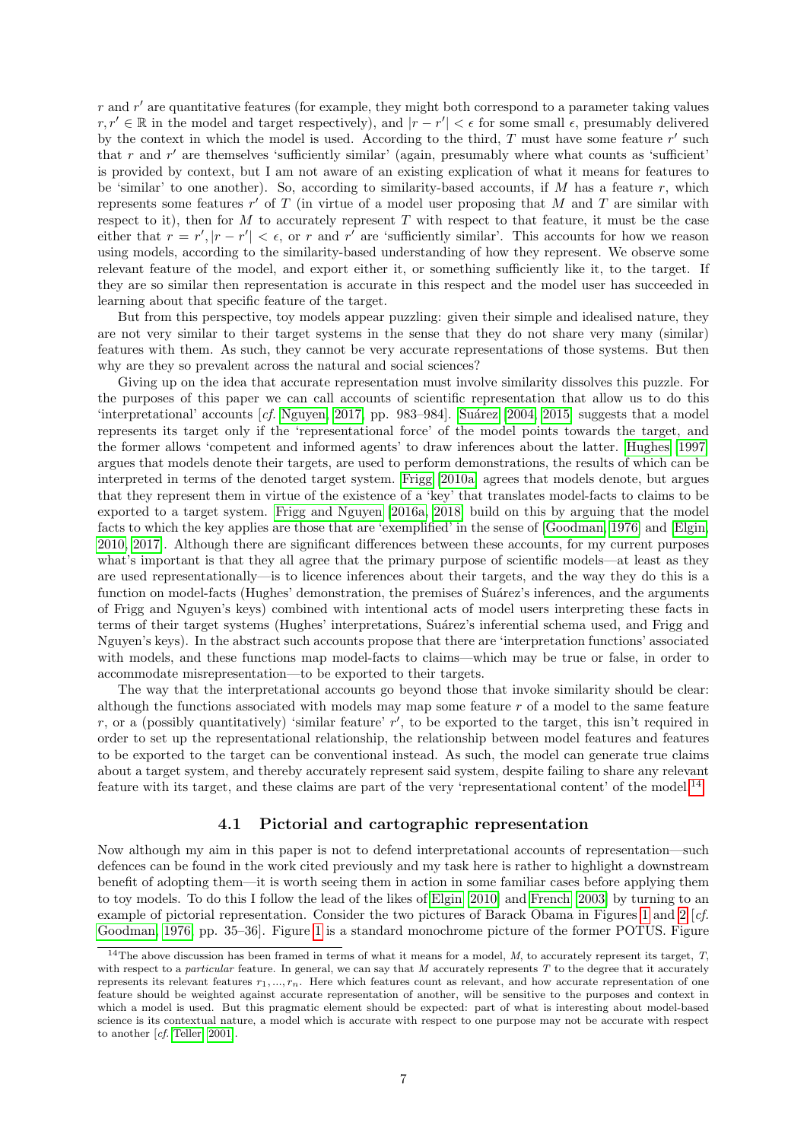$r$  and  $r'$  are quantitative features (for example, they might both correspond to a parameter taking values  $r, r' \in \mathbb{R}$  in the model and target respectively), and  $|r - r'| < \epsilon$  for some small  $\epsilon$ , presumably delivered by the context in which the model is used. According to the third,  $T$  must have some feature  $r'$  such that  $r$  and  $r'$  are themselves 'sufficiently similar' (again, presumably where what counts as 'sufficient' is provided by context, but I am not aware of an existing explication of what it means for features to be 'similar' to one another). So, according to similarity-based accounts, if  $M$  has a feature  $r$ , which represents some features  $r'$  of  $T$  (in virtue of a model user proposing that  $M$  and  $T$  are similar with respect to it), then for  $M$  to accurately represent  $T$  with respect to that feature, it must be the case either that  $r = r'$ ,  $|r - r'| < \epsilon$ , or r and r' are 'sufficiently similar'. This accounts for how we reason using models, according to the similarity-based understanding of how they represent. We observe some relevant feature of the model, and export either it, or something sufficiently like it, to the target. If they are so similar then representation is accurate in this respect and the model user has succeeded in learning about that specific feature of the target.

But from this perspective, toy models appear puzzling: given their simple and idealised nature, they are not very similar to their target systems in the sense that they do not share very many (similar) features with them. As such, they cannot be very accurate representations of those systems. But then why are they so prevalent across the natural and social sciences?

Giving up on the idea that accurate representation must involve similarity dissolves this puzzle. For the purposes of this paper we can call accounts of scientific representation that allow us to do this 'interpretational' accounts  $[cf.$  [Nguyen, 2017,](#page-15-16) pp. 983–984]. Suárez  $[2004, 2015]$  $[2004, 2015]$  suggests that a model represents its target only if the 'representational force' of the model points towards the target, and the former allows 'competent and informed agents' to draw inferences about the latter. [Hughes](#page-15-5) [\[1997\]](#page-15-5) argues that models denote their targets, are used to perform demonstrations, the results of which can be interpreted in terms of the denoted target system. [Frigg](#page-14-11) [\[2010a\]](#page-14-11) agrees that models denote, but argues that they represent them in virtue of the existence of a 'key' that translates model-facts to claims to be exported to a target system. [Frigg and Nguyen](#page-14-2) [\[2016a,](#page-14-2) [2018\]](#page-14-3) build on this by arguing that the model facts to which the key applies are those that are 'exemplified' in the sense of [\[Goodman, 1976\]](#page-15-17) and [\[Elgin,](#page-14-12) [2010,](#page-14-12) [2017\]](#page-14-13). Although there are significant differences between these accounts, for my current purposes what's important is that they all agree that the primary purpose of scientific models—at least as they are used representationally—is to licence inferences about their targets, and the way they do this is a function on model-facts (Hughes' demonstration, the premises of Suárez's inferences, and the arguments of Frigg and Nguyen's keys) combined with intentional acts of model users interpreting these facts in terms of their target systems (Hughes' interpretations, Suárez's inferential schema used, and Frigg and Nguyen's keys). In the abstract such accounts propose that there are 'interpretation functions' associated with models, and these functions map model-facts to claims—which may be true or false, in order to accommodate misrepresentation—to be exported to their targets.

The way that the interpretational accounts go beyond those that invoke similarity should be clear: although the functions associated with models may map some feature  $r$  of a model to the same feature r, or a (possibly quantitatively) 'similar feature'  $r'$ , to be exported to the target, this isn't required in order to set up the representational relationship, the relationship between model features and features to be exported to the target can be conventional instead. As such, the model can generate true claims about a target system, and thereby accurately represent said system, despite failing to share any relevant feature with its target, and these claims are part of the very 'representational content' of the model.[14](#page-6-1)

### 4.1 Pictorial and cartographic representation

<span id="page-6-0"></span>Now although my aim in this paper is not to defend interpretational accounts of representation—such defences can be found in the work cited previously and my task here is rather to highlight a downstream benefit of adopting them—it is worth seeing them in action in some familiar cases before applying them to toy models. To do this I follow the lead of the likes of [Elgin](#page-14-12) [\[2010\]](#page-14-12) and [French](#page-14-14) [\[2003\]](#page-14-14) by turning to an example of pictorial representation. Consider the two pictures of Barack Obama in Figures [1](#page-16-6) and [2](#page-16-6) [cf. [Goodman, 1976,](#page-15-17) pp. 35–36]. Figure [1](#page-16-6) is a standard monochrome picture of the former POTUS. Figure

<span id="page-6-1"></span> $14$ The above discussion has been framed in terms of what it means for a model, M, to accurately represent its target, T, with respect to a particular feature. In general, we can say that  $M$  accurately represents  $T$  to the degree that it accurately represents its relevant features  $r_1, ..., r_n$ . Here which features count as relevant, and how accurate representation of one feature should be weighted against accurate representation of another, will be sensitive to the purposes and context in which a model is used. But this pragmatic element should be expected: part of what is interesting about model-based science is its contextual nature, a model which is accurate with respect to one purpose may not be accurate with respect to another [cf. [Teller, 2001\]](#page-16-7).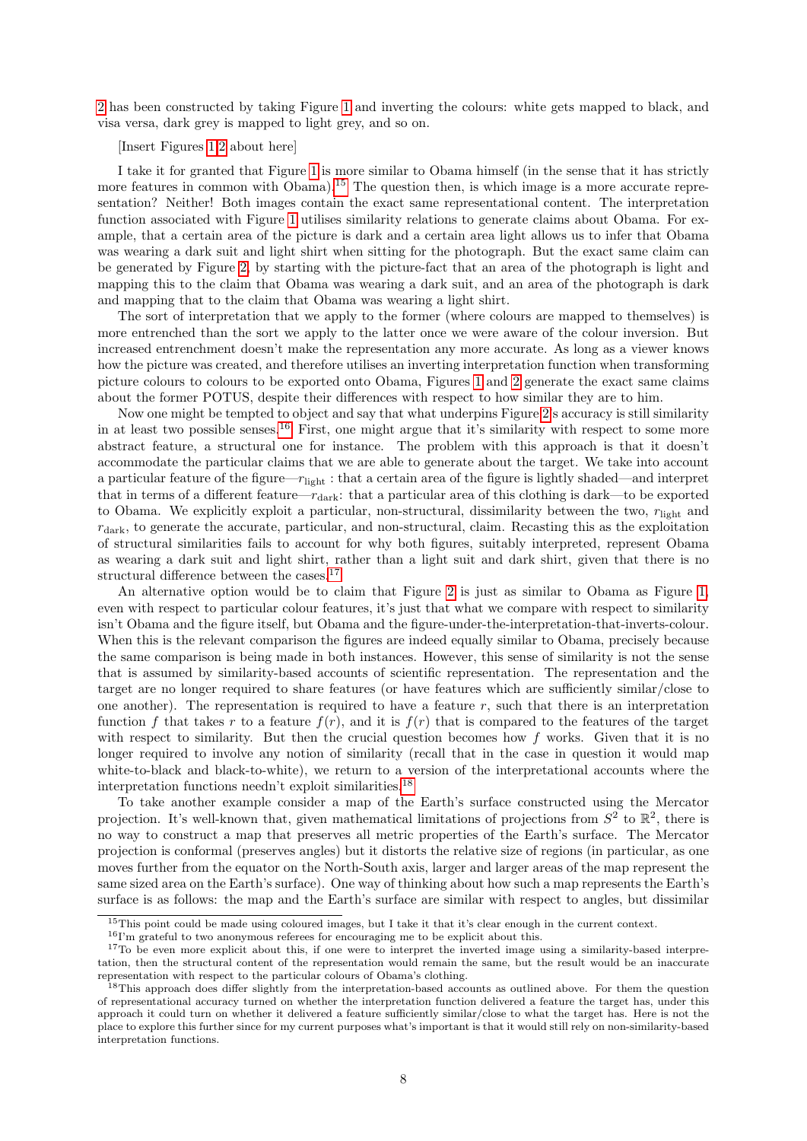[2](#page-16-6) has been constructed by taking Figure [1](#page-16-6) and inverting the colours: white gets mapped to black, and visa versa, dark grey is mapped to light grey, and so on.

#### [Insert Figures [1,2](#page-16-6) about here]

I take it for granted that Figure [1](#page-16-6) is more similar to Obama himself (in the sense that it has strictly more features in common with Obama).<sup>[15](#page-7-0)</sup> The question then, is which image is a more accurate representation? Neither! Both images contain the exact same representational content. The interpretation function associated with Figure [1](#page-16-6) utilises similarity relations to generate claims about Obama. For example, that a certain area of the picture is dark and a certain area light allows us to infer that Obama was wearing a dark suit and light shirt when sitting for the photograph. But the exact same claim can be generated by Figure [2,](#page-16-6) by starting with the picture-fact that an area of the photograph is light and mapping this to the claim that Obama was wearing a dark suit, and an area of the photograph is dark and mapping that to the claim that Obama was wearing a light shirt.

The sort of interpretation that we apply to the former (where colours are mapped to themselves) is more entrenched than the sort we apply to the latter once we were aware of the colour inversion. But increased entrenchment doesn't make the representation any more accurate. As long as a viewer knows how the picture was created, and therefore utilises an inverting interpretation function when transforming picture colours to colours to be exported onto Obama, Figures [1](#page-16-6) and [2](#page-16-6) generate the exact same claims about the former POTUS, despite their differences with respect to how similar they are to him.

Now one might be tempted to object and say that what underpins Figure [2'](#page-16-6)s accuracy is still similarity in at least two possible senses.<sup>[16](#page-7-1)</sup> First, one might argue that it's similarity with respect to some more abstract feature, a structural one for instance. The problem with this approach is that it doesn't accommodate the particular claims that we are able to generate about the target. We take into account a particular feature of the figure— $r_{\text{light}}$ : that a certain area of the figure is lightly shaded—and interpret that in terms of a different feature— $r_{\text{dark}}$ : that a particular area of this clothing is dark—to be exported to Obama. We explicitly exploit a particular, non-structural, dissimilarity between the two,  $r_{\text{light}}$  and  $r_{\text{dark}}$ , to generate the accurate, particular, and non-structural, claim. Recasting this as the exploitation of structural similarities fails to account for why both figures, suitably interpreted, represent Obama as wearing a dark suit and light shirt, rather than a light suit and dark shirt, given that there is no structural difference between the cases.<sup>[17](#page-7-2)</sup>

An alternative option would be to claim that Figure [2](#page-16-6) is just as similar to Obama as Figure [1,](#page-16-6) even with respect to particular colour features, it's just that what we compare with respect to similarity isn't Obama and the figure itself, but Obama and the figure-under-the-interpretation-that-inverts-colour. When this is the relevant comparison the figures are indeed equally similar to Obama, precisely because the same comparison is being made in both instances. However, this sense of similarity is not the sense that is assumed by similarity-based accounts of scientific representation. The representation and the target are no longer required to share features (or have features which are sufficiently similar/close to one another). The representation is required to have a feature  $r$ , such that there is an interpretation function f that takes r to a feature  $f(r)$ , and it is  $f(r)$  that is compared to the features of the target with respect to similarity. But then the crucial question becomes how  $f$  works. Given that it is no longer required to involve any notion of similarity (recall that in the case in question it would map white-to-black and black-to-white), we return to a version of the interpretational accounts where the interpretation functions needn't exploit similarities.[18](#page-7-3)

To take another example consider a map of the Earth's surface constructed using the Mercator projection. It's well-known that, given mathematical limitations of projections from  $S^2$  to  $\mathbb{R}^2$ , there is no way to construct a map that preserves all metric properties of the Earth's surface. The Mercator projection is conformal (preserves angles) but it distorts the relative size of regions (in particular, as one moves further from the equator on the North-South axis, larger and larger areas of the map represent the same sized area on the Earth's surface). One way of thinking about how such a map represents the Earth's surface is as follows: the map and the Earth's surface are similar with respect to angles, but dissimilar

<span id="page-7-0"></span><sup>&</sup>lt;sup>15</sup>This point could be made using coloured images, but I take it that it's clear enough in the current context.

<span id="page-7-2"></span><span id="page-7-1"></span> $^{16}\mathrm{I}'$  m grateful to two anonymous referees for encouraging me to be explicit about this.

<sup>&</sup>lt;sup>17</sup>To be even more explicit about this, if one were to interpret the inverted image using a similarity-based interpretation, then the structural content of the representation would remain the same, but the result would be an inaccurate representation with respect to the particular colours of Obama's clothing.

<span id="page-7-3"></span><sup>&</sup>lt;sup>18</sup>This approach does differ slightly from the interpretation-based accounts as outlined above. For them the question of representational accuracy turned on whether the interpretation function delivered a feature the target has, under this approach it could turn on whether it delivered a feature sufficiently similar/close to what the target has. Here is not the place to explore this further since for my current purposes what's important is that it would still rely on non-similarity-based interpretation functions.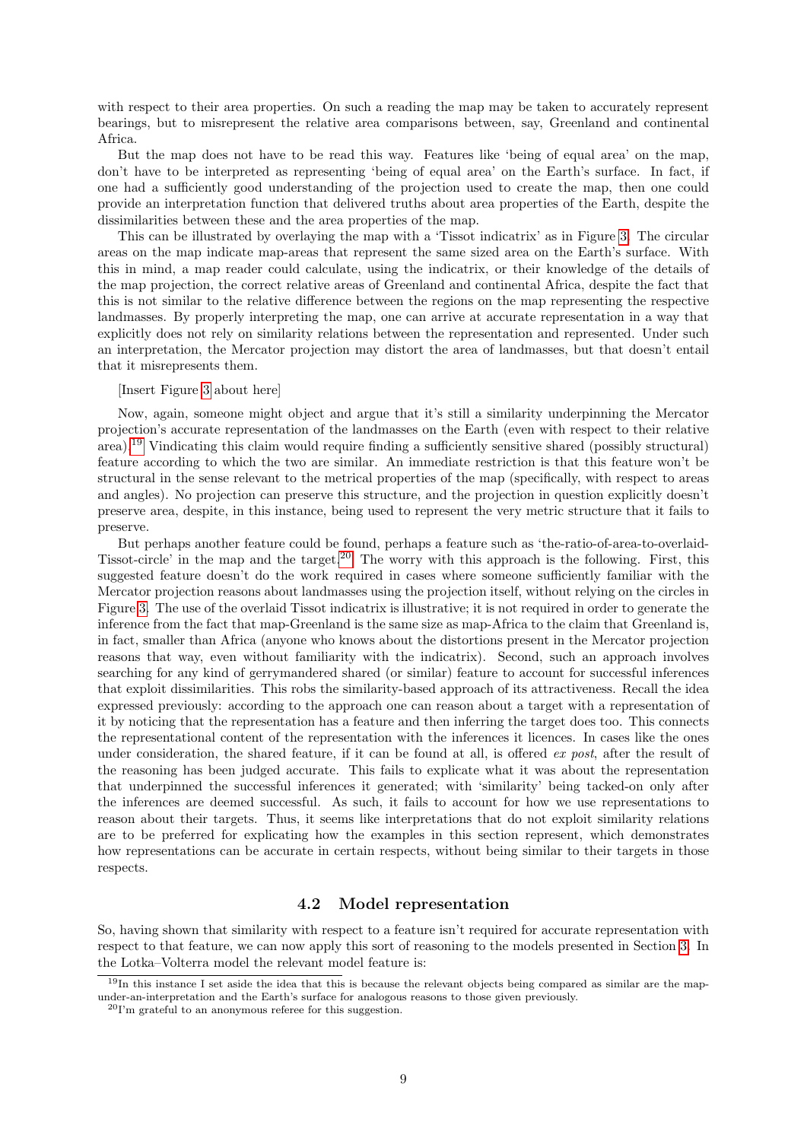with respect to their area properties. On such a reading the map may be taken to accurately represent bearings, but to misrepresent the relative area comparisons between, say, Greenland and continental Africa.

But the map does not have to be read this way. Features like 'being of equal area' on the map, don't have to be interpreted as representing 'being of equal area' on the Earth's surface. In fact, if one had a sufficiently good understanding of the projection used to create the map, then one could provide an interpretation function that delivered truths about area properties of the Earth, despite the dissimilarities between these and the area properties of the map.

This can be illustrated by overlaying the map with a 'Tissot indicatrix' as in Figure [3.](#page-17-0) The circular areas on the map indicate map-areas that represent the same sized area on the Earth's surface. With this in mind, a map reader could calculate, using the indicatrix, or their knowledge of the details of the map projection, the correct relative areas of Greenland and continental Africa, despite the fact that this is not similar to the relative difference between the regions on the map representing the respective landmasses. By properly interpreting the map, one can arrive at accurate representation in a way that explicitly does not rely on similarity relations between the representation and represented. Under such an interpretation, the Mercator projection may distort the area of landmasses, but that doesn't entail that it misrepresents them.

#### [Insert Figure [3](#page-17-0) about here]

Now, again, someone might object and argue that it's still a similarity underpinning the Mercator projection's accurate representation of the landmasses on the Earth (even with respect to their relative area).<sup>[19](#page-8-1)</sup> Vindicating this claim would require finding a sufficiently sensitive shared (possibly structural) feature according to which the two are similar. An immediate restriction is that this feature won't be structural in the sense relevant to the metrical properties of the map (specifically, with respect to areas and angles). No projection can preserve this structure, and the projection in question explicitly doesn't preserve area, despite, in this instance, being used to represent the very metric structure that it fails to preserve.

But perhaps another feature could be found, perhaps a feature such as 'the-ratio-of-area-to-overlaid-Tissot-circle' in the map and the target.[20](#page-8-2) The worry with this approach is the following. First, this suggested feature doesn't do the work required in cases where someone sufficiently familiar with the Mercator projection reasons about landmasses using the projection itself, without relying on the circles in Figure [3.](#page-17-0) The use of the overlaid Tissot indicatrix is illustrative; it is not required in order to generate the inference from the fact that map-Greenland is the same size as map-Africa to the claim that Greenland is, in fact, smaller than Africa (anyone who knows about the distortions present in the Mercator projection reasons that way, even without familiarity with the indicatrix). Second, such an approach involves searching for any kind of gerrymandered shared (or similar) feature to account for successful inferences that exploit dissimilarities. This robs the similarity-based approach of its attractiveness. Recall the idea expressed previously: according to the approach one can reason about a target with a representation of it by noticing that the representation has a feature and then inferring the target does too. This connects the representational content of the representation with the inferences it licences. In cases like the ones under consideration, the shared feature, if it can be found at all, is offered ex post, after the result of the reasoning has been judged accurate. This fails to explicate what it was about the representation that underpinned the successful inferences it generated; with 'similarity' being tacked-on only after the inferences are deemed successful. As such, it fails to account for how we use representations to reason about their targets. Thus, it seems like interpretations that do not exploit similarity relations are to be preferred for explicating how the examples in this section represent, which demonstrates how representations can be accurate in certain respects, without being similar to their targets in those respects.

### 4.2 Model representation

<span id="page-8-0"></span>So, having shown that similarity with respect to a feature isn't required for accurate representation with respect to that feature, we can now apply this sort of reasoning to the models presented in Section [3.](#page-2-0) In the Lotka–Volterra model the relevant model feature is:

<span id="page-8-1"></span> $19$ In this instance I set aside the idea that this is because the relevant objects being compared as similar are the mapunder-an-interpretation and the Earth's surface for analogous reasons to those given previously.

<span id="page-8-2"></span> $^{20}\mathrm{I}'$  m grateful to an anonymous referee for this suggestion.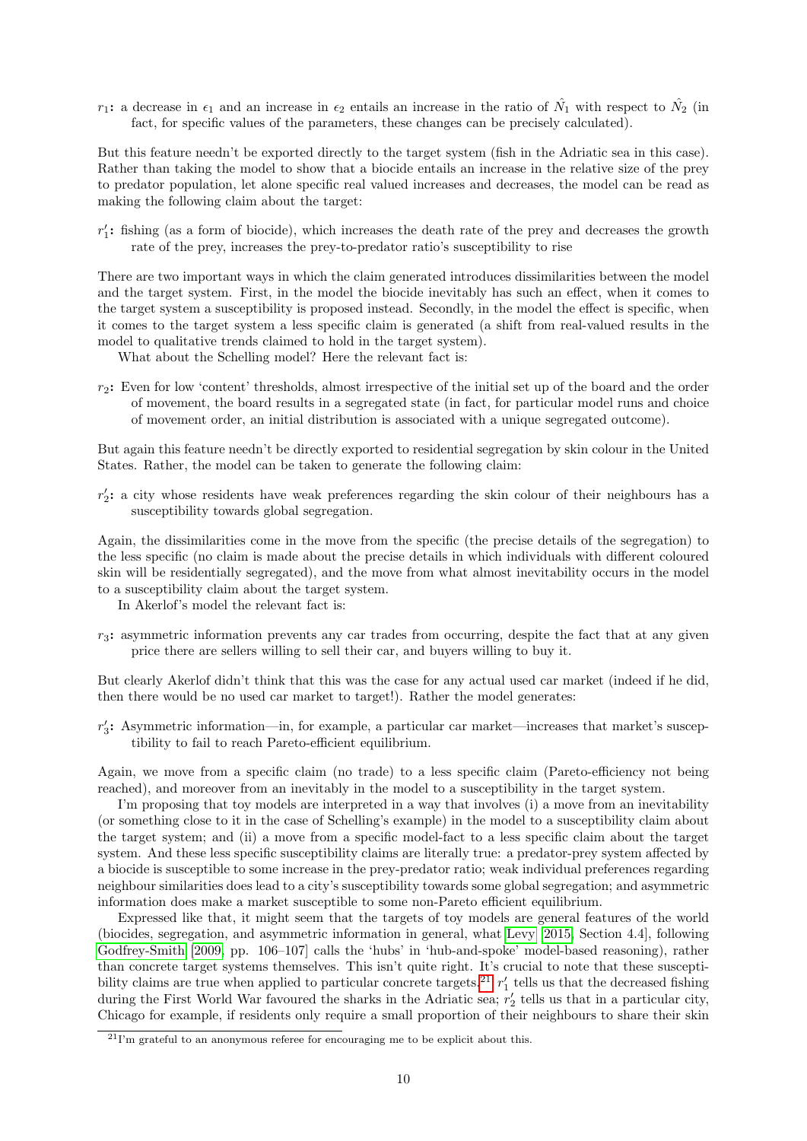$r_1$ : a decrease in  $\epsilon_1$  and an increase in  $\epsilon_2$  entails an increase in the ratio of  $\hat{N}_1$  with respect to  $\hat{N}_2$  (in fact, for specific values of the parameters, these changes can be precisely calculated).

But this feature needn't be exported directly to the target system (fish in the Adriatic sea in this case). Rather than taking the model to show that a biocide entails an increase in the relative size of the prey to predator population, let alone specific real valued increases and decreases, the model can be read as making the following claim about the target:

 $r'_1$ : fishing (as a form of biocide), which increases the death rate of the prey and decreases the growth rate of the prey, increases the prey-to-predator ratio's susceptibility to rise

There are two important ways in which the claim generated introduces dissimilarities between the model and the target system. First, in the model the biocide inevitably has such an effect, when it comes to the target system a susceptibility is proposed instead. Secondly, in the model the effect is specific, when it comes to the target system a less specific claim is generated (a shift from real-valued results in the model to qualitative trends claimed to hold in the target system).

What about the Schelling model? Here the relevant fact is:

 $r_2$ : Even for low 'content' thresholds, almost irrespective of the initial set up of the board and the order of movement, the board results in a segregated state (in fact, for particular model runs and choice of movement order, an initial distribution is associated with a unique segregated outcome).

But again this feature needn't be directly exported to residential segregation by skin colour in the United States. Rather, the model can be taken to generate the following claim:

 $r'_2$ : a city whose residents have weak preferences regarding the skin colour of their neighbours has a susceptibility towards global segregation.

Again, the dissimilarities come in the move from the specific (the precise details of the segregation) to the less specific (no claim is made about the precise details in which individuals with different coloured skin will be residentially segregated), and the move from what almost inevitability occurs in the model to a susceptibility claim about the target system.

In Akerlof's model the relevant fact is:

 $r_3$ : asymmetric information prevents any car trades from occurring, despite the fact that at any given price there are sellers willing to sell their car, and buyers willing to buy it.

But clearly Akerlof didn't think that this was the case for any actual used car market (indeed if he did, then there would be no used car market to target!). Rather the model generates:

 $r'_3$ : Asymmetric information—in, for example, a particular car market—increases that market's susceptibility to fail to reach Pareto-efficient equilibrium.

Again, we move from a specific claim (no trade) to a less specific claim (Pareto-efficiency not being reached), and moreover from an inevitably in the model to a susceptibility in the target system.

I'm proposing that toy models are interpreted in a way that involves (i) a move from an inevitability (or something close to it in the case of Schelling's example) in the model to a susceptibility claim about the target system; and (ii) a move from a specific model-fact to a less specific claim about the target system. And these less specific susceptibility claims are literally true: a predator-prey system affected by a biocide is susceptible to some increase in the prey-predator ratio; weak individual preferences regarding neighbour similarities does lead to a city's susceptibility towards some global segregation; and asymmetric information does make a market susceptible to some non-Pareto efficient equilibrium.

Expressed like that, it might seem that the targets of toy models are general features of the world (biocides, segregation, and asymmetric information in general, what [Levy](#page-15-18) [\[2015,](#page-15-18) Section 4.4], following [Godfrey-Smith](#page-15-19) [\[2009,](#page-15-19) pp. 106–107] calls the 'hubs' in 'hub-and-spoke' model-based reasoning), rather than concrete target systems themselves. This isn't quite right. It's crucial to note that these suscepti-bility claims are true when applied to particular concrete targets.<sup>[21](#page-9-0)</sup>  $r'_1$  tells us that the decreased fishing during the First World War favoured the sharks in the Adriatic sea;  $r'_2$  tells us that in a particular city, Chicago for example, if residents only require a small proportion of their neighbours to share their skin

<span id="page-9-0"></span> $^{21}$ I'm grateful to an anonymous referee for encouraging me to be explicit about this.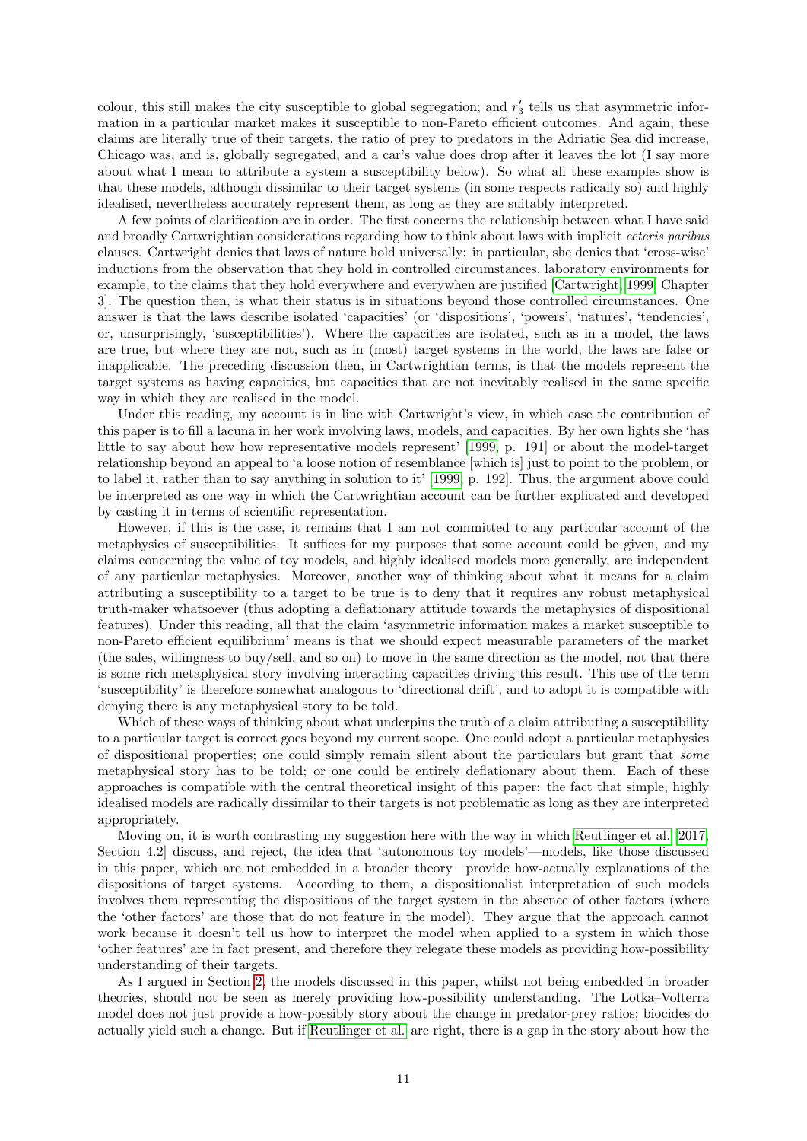colour, this still makes the city susceptible to global segregation; and  $r'_3$  tells us that asymmetric information in a particular market makes it susceptible to non-Pareto efficient outcomes. And again, these claims are literally true of their targets, the ratio of prey to predators in the Adriatic Sea did increase, Chicago was, and is, globally segregated, and a car's value does drop after it leaves the lot (I say more about what I mean to attribute a system a susceptibility below). So what all these examples show is that these models, although dissimilar to their target systems (in some respects radically so) and highly idealised, nevertheless accurately represent them, as long as they are suitably interpreted.

A few points of clarification are in order. The first concerns the relationship between what I have said and broadly Cartwrightian considerations regarding how to think about laws with implicit ceteris paribus clauses. Cartwright denies that laws of nature hold universally: in particular, she denies that 'cross-wise' inductions from the observation that they hold in controlled circumstances, laboratory environments for example, to the claims that they hold everywhere and everywhen are justified [\[Cartwright, 1999,](#page-14-15) Chapter 3]. The question then, is what their status is in situations beyond those controlled circumstances. One answer is that the laws describe isolated 'capacities' (or 'dispositions', 'powers', 'natures', 'tendencies', or, unsurprisingly, 'susceptibilities'). Where the capacities are isolated, such as in a model, the laws are true, but where they are not, such as in (most) target systems in the world, the laws are false or inapplicable. The preceding discussion then, in Cartwrightian terms, is that the models represent the target systems as having capacities, but capacities that are not inevitably realised in the same specific way in which they are realised in the model.

Under this reading, my account is in line with Cartwright's view, in which case the contribution of this paper is to fill a lacuna in her work involving laws, models, and capacities. By her own lights she 'has little to say about how how representative models represent' [\[1999,](#page-14-15) p. 191] or about the model-target relationship beyond an appeal to 'a loose notion of resemblance [which is] just to point to the problem, or to label it, rather than to say anything in solution to it' [\[1999,](#page-14-15) p. 192]. Thus, the argument above could be interpreted as one way in which the Cartwrightian account can be further explicated and developed by casting it in terms of scientific representation.

However, if this is the case, it remains that I am not committed to any particular account of the metaphysics of susceptibilities. It suffices for my purposes that some account could be given, and my claims concerning the value of toy models, and highly idealised models more generally, are independent of any particular metaphysics. Moreover, another way of thinking about what it means for a claim attributing a susceptibility to a target to be true is to deny that it requires any robust metaphysical truth-maker whatsoever (thus adopting a deflationary attitude towards the metaphysics of dispositional features). Under this reading, all that the claim 'asymmetric information makes a market susceptible to non-Pareto efficient equilibrium' means is that we should expect measurable parameters of the market (the sales, willingness to buy/sell, and so on) to move in the same direction as the model, not that there is some rich metaphysical story involving interacting capacities driving this result. This use of the term 'susceptibility' is therefore somewhat analogous to 'directional drift', and to adopt it is compatible with denying there is any metaphysical story to be told.

Which of these ways of thinking about what underpins the truth of a claim attributing a susceptibility to a particular target is correct goes beyond my current scope. One could adopt a particular metaphysics of dispositional properties; one could simply remain silent about the particulars but grant that some metaphysical story has to be told; or one could be entirely deflationary about them. Each of these approaches is compatible with the central theoretical insight of this paper: the fact that simple, highly idealised models are radically dissimilar to their targets is not problematic as long as they are interpreted appropriately.

Moving on, it is worth contrasting my suggestion here with the way in which [Reutlinger et al.](#page-15-0) [\[2017,](#page-15-0) Section 4.2] discuss, and reject, the idea that 'autonomous toy models'—models, like those discussed in this paper, which are not embedded in a broader theory—provide how-actually explanations of the dispositions of target systems. According to them, a dispositionalist interpretation of such models involves them representing the dispositions of the target system in the absence of other factors (where the 'other factors' are those that do not feature in the model). They argue that the approach cannot work because it doesn't tell us how to interpret the model when applied to a system in which those 'other features' are in fact present, and therefore they relegate these models as providing how-possibility understanding of their targets.

As I argued in Section [2,](#page-1-0) the models discussed in this paper, whilst not being embedded in broader theories, should not be seen as merely providing how-possibility understanding. The Lotka–Volterra model does not just provide a how-possibly story about the change in predator-prey ratios; biocides do actually yield such a change. But if [Reutlinger et al.](#page-15-0) are right, there is a gap in the story about how the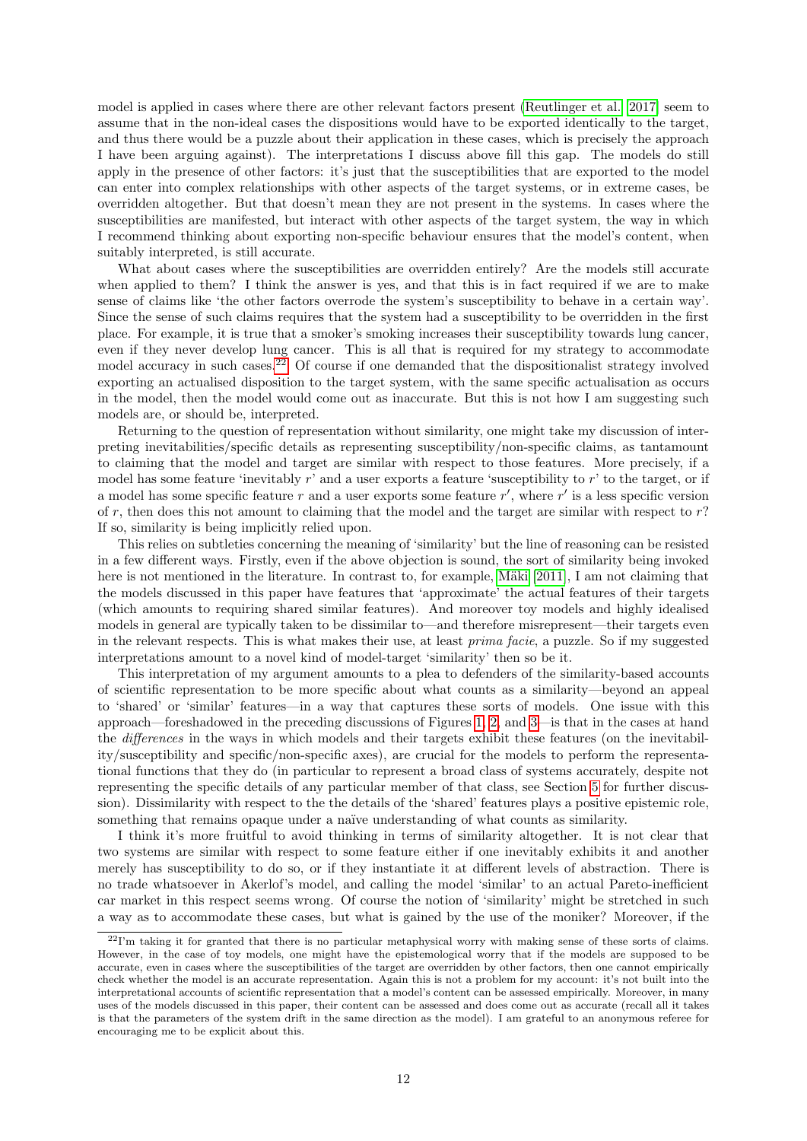model is applied in cases where there are other relevant factors present [\(Reutlinger et al.](#page-15-0) [\[2017\]](#page-15-0) seem to assume that in the non-ideal cases the dispositions would have to be exported identically to the target, and thus there would be a puzzle about their application in these cases, which is precisely the approach I have been arguing against). The interpretations I discuss above fill this gap. The models do still apply in the presence of other factors: it's just that the susceptibilities that are exported to the model can enter into complex relationships with other aspects of the target systems, or in extreme cases, be overridden altogether. But that doesn't mean they are not present in the systems. In cases where the susceptibilities are manifested, but interact with other aspects of the target system, the way in which I recommend thinking about exporting non-specific behaviour ensures that the model's content, when suitably interpreted, is still accurate.

What about cases where the susceptibilities are overridden entirely? Are the models still accurate when applied to them? I think the answer is yes, and that this is in fact required if we are to make sense of claims like 'the other factors overrode the system's susceptibility to behave in a certain way'. Since the sense of such claims requires that the system had a susceptibility to be overridden in the first place. For example, it is true that a smoker's smoking increases their susceptibility towards lung cancer, even if they never develop lung cancer. This is all that is required for my strategy to accommodate model accuracy in such cases.<sup>[22](#page-11-0)</sup> Of course if one demanded that the dispositionalist strategy involved exporting an actualised disposition to the target system, with the same specific actualisation as occurs in the model, then the model would come out as inaccurate. But this is not how I am suggesting such models are, or should be, interpreted.

Returning to the question of representation without similarity, one might take my discussion of interpreting inevitabilities/specific details as representing susceptibility/non-specific claims, as tantamount to claiming that the model and target are similar with respect to those features. More precisely, if a model has some feature 'inevitably  $r'$  and a user exports a feature 'susceptibility to  $r'$  to the target, or if a model has some specific feature r and a user exports some feature  $r'$ , where  $r'$  is a less specific version of r, then does this not amount to claiming that the model and the target are similar with respect to  $r$ ? If so, similarity is being implicitly relied upon.

This relies on subtleties concerning the meaning of 'similarity' but the line of reasoning can be resisted in a few different ways. Firstly, even if the above objection is sound, the sort of similarity being invoked here is not mentioned in the literature. In contrast to, for example, Mäki [\[2011\]](#page-15-20), I am not claiming that the models discussed in this paper have features that 'approximate' the actual features of their targets (which amounts to requiring shared similar features). And moreover toy models and highly idealised models in general are typically taken to be dissimilar to—and therefore misrepresent—their targets even in the relevant respects. This is what makes their use, at least prima facie, a puzzle. So if my suggested interpretations amount to a novel kind of model-target 'similarity' then so be it.

This interpretation of my argument amounts to a plea to defenders of the similarity-based accounts of scientific representation to be more specific about what counts as a similarity—beyond an appeal to 'shared' or 'similar' features—in a way that captures these sorts of models. One issue with this approach—foreshadowed in the preceding discussions of Figures [1, 2,](#page-16-6) and [3—](#page-17-0)is that in the cases at hand the differences in the ways in which models and their targets exhibit these features (on the inevitability/susceptibility and specific/non-specific axes), are crucial for the models to perform the representational functions that they do (in particular to represent a broad class of systems accurately, despite not representing the specific details of any particular member of that class, see Section [5](#page-12-1) for further discussion). Dissimilarity with respect to the the details of the 'shared' features plays a positive epistemic role, something that remains opaque under a naïve understanding of what counts as similarity.

I think it's more fruitful to avoid thinking in terms of similarity altogether. It is not clear that two systems are similar with respect to some feature either if one inevitably exhibits it and another merely has susceptibility to do so, or if they instantiate it at different levels of abstraction. There is no trade whatsoever in Akerlof's model, and calling the model 'similar' to an actual Pareto-inefficient car market in this respect seems wrong. Of course the notion of 'similarity' might be stretched in such a way as to accommodate these cases, but what is gained by the use of the moniker? Moreover, if the

<span id="page-11-0"></span> $^{22}$ I'm taking it for granted that there is no particular metaphysical worry with making sense of these sorts of claims. However, in the case of toy models, one might have the epistemological worry that if the models are supposed to be accurate, even in cases where the susceptibilities of the target are overridden by other factors, then one cannot empirically check whether the model is an accurate representation. Again this is not a problem for my account: it's not built into the interpretational accounts of scientific representation that a model's content can be assessed empirically. Moreover, in many uses of the models discussed in this paper, their content can be assessed and does come out as accurate (recall all it takes is that the parameters of the system drift in the same direction as the model). I am grateful to an anonymous referee for encouraging me to be explicit about this.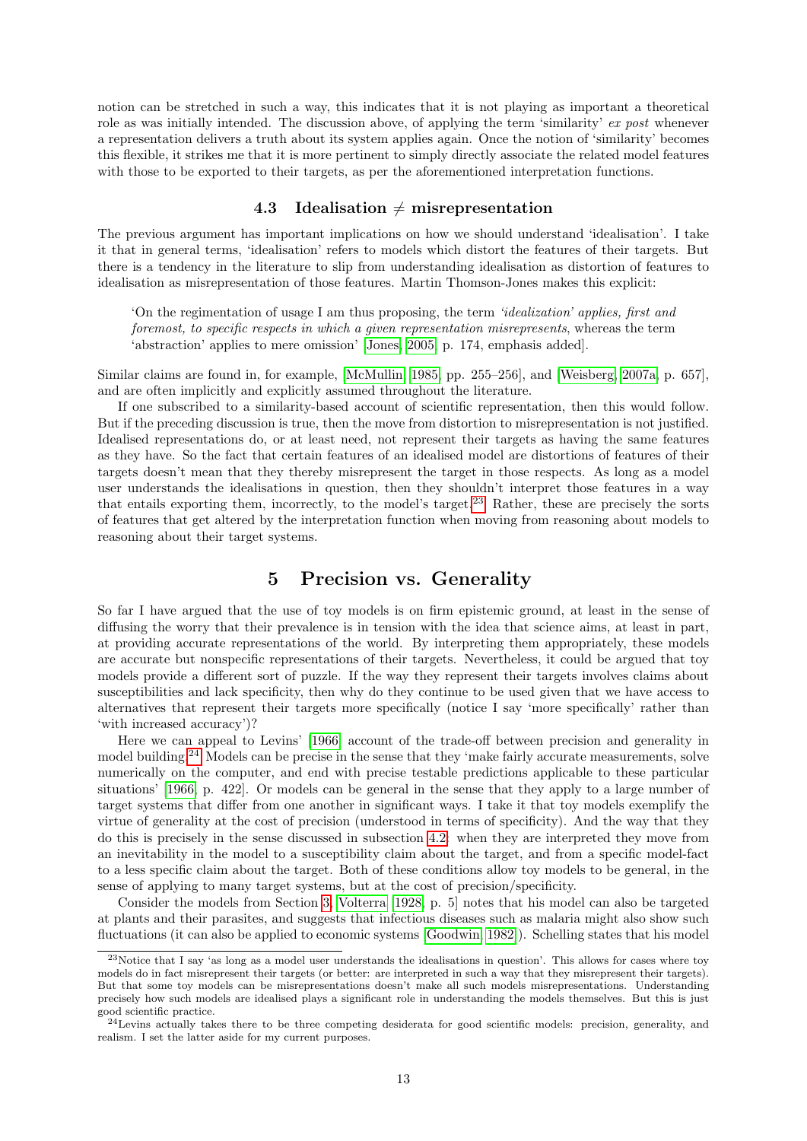notion can be stretched in such a way, this indicates that it is not playing as important a theoretical role as was initially intended. The discussion above, of applying the term 'similarity' ex post whenever a representation delivers a truth about its system applies again. Once the notion of 'similarity' becomes this flexible, it strikes me that it is more pertinent to simply directly associate the related model features with those to be exported to their targets, as per the aforementioned interpretation functions.

### 4.3 Idealisation  $\neq$  misrepresentation

<span id="page-12-0"></span>The previous argument has important implications on how we should understand 'idealisation'. I take it that in general terms, 'idealisation' refers to models which distort the features of their targets. But there is a tendency in the literature to slip from understanding idealisation as distortion of features to idealisation as misrepresentation of those features. Martin Thomson-Jones makes this explicit:

'On the regimentation of usage I am thus proposing, the term 'idealization' applies, first and foremost, to specific respects in which a given representation misrepresents, whereas the term 'abstraction' applies to mere omission' [\[Jones, 2005,](#page-15-21) p. 174, emphasis added].

Similar claims are found in, for example, [\[McMullin, 1985,](#page-15-22) pp. 255–256], and [\[Weisberg, 2007a,](#page-16-8) p. 657], and are often implicitly and explicitly assumed throughout the literature.

If one subscribed to a similarity-based account of scientific representation, then this would follow. But if the preceding discussion is true, then the move from distortion to misrepresentation is not justified. Idealised representations do, or at least need, not represent their targets as having the same features as they have. So the fact that certain features of an idealised model are distortions of features of their targets doesn't mean that they thereby misrepresent the target in those respects. As long as a model user understands the idealisations in question, then they shouldn't interpret those features in a way that entails exporting them, incorrectly, to the model's target.[23](#page-12-2) Rather, these are precisely the sorts of features that get altered by the interpretation function when moving from reasoning about models to reasoning about their target systems.

### 5 Precision vs. Generality

<span id="page-12-1"></span>So far I have argued that the use of toy models is on firm epistemic ground, at least in the sense of diffusing the worry that their prevalence is in tension with the idea that science aims, at least in part, at providing accurate representations of the world. By interpreting them appropriately, these models are accurate but nonspecific representations of their targets. Nevertheless, it could be argued that toy models provide a different sort of puzzle. If the way they represent their targets involves claims about susceptibilities and lack specificity, then why do they continue to be used given that we have access to alternatives that represent their targets more specifically (notice I say 'more specifically' rather than 'with increased accuracy')?

Here we can appeal to Levins' [\[1966\]](#page-15-7) account of the trade-off between precision and generality in model building.[24](#page-12-3) Models can be precise in the sense that they 'make fairly accurate measurements, solve numerically on the computer, and end with precise testable predictions applicable to these particular situations' [\[1966,](#page-15-7) p. 422]. Or models can be general in the sense that they apply to a large number of target systems that differ from one another in significant ways. I take it that toy models exemplify the virtue of generality at the cost of precision (understood in terms of specificity). And the way that they do this is precisely in the sense discussed in subsection [4.2:](#page-8-0) when they are interpreted they move from an inevitability in the model to a susceptibility claim about the target, and from a specific model-fact to a less specific claim about the target. Both of these conditions allow toy models to be general, in the sense of applying to many target systems, but at the cost of precision/specificity.

Consider the models from Section [3,](#page-2-0) [Volterra](#page-16-3) [\[1928,](#page-16-3) p. 5] notes that his model can also be targeted at plants and their parasites, and suggests that infectious diseases such as malaria might also show such fluctuations (it can also be applied to economic systems [\[Goodwin, 1982\]](#page-15-23)). Schelling states that his model

<span id="page-12-2"></span><sup>23</sup>Notice that I say 'as long as a model user understands the idealisations in question'. This allows for cases where toy models do in fact misrepresent their targets (or better: are interpreted in such a way that they misrepresent their targets). But that some toy models can be misrepresentations doesn't make all such models misrepresentations. Understanding precisely how such models are idealised plays a significant role in understanding the models themselves. But this is just good scientific practice.

<span id="page-12-3"></span><sup>&</sup>lt;sup>24</sup>Levins actually takes there to be three competing desiderata for good scientific models: precision, generality, and realism. I set the latter aside for my current purposes.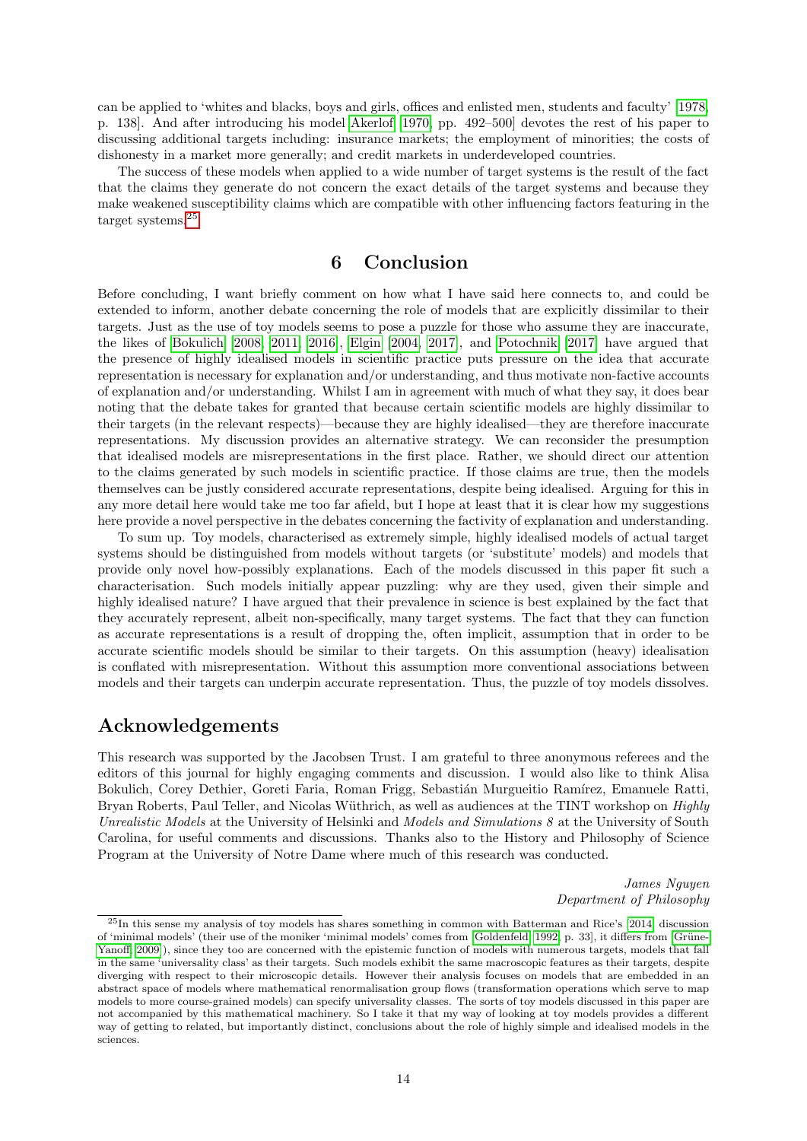can be applied to 'whites and blacks, boys and girls, offices and enlisted men, students and faculty' [\[1978,](#page-15-11) p. 138]. And after introducing his model [Akerlof](#page-14-4) [\[1970,](#page-14-4) pp. 492–500] devotes the rest of his paper to discussing additional targets including: insurance markets; the employment of minorities; the costs of dishonesty in a market more generally; and credit markets in underdeveloped countries.

The success of these models when applied to a wide number of target systems is the result of the fact that the claims they generate do not concern the exact details of the target systems and because they make weakened susceptibility claims which are compatible with other influencing factors featuring in the target systems.[25](#page-13-1)

# 6 Conclusion

<span id="page-13-0"></span>Before concluding, I want briefly comment on how what I have said here connects to, and could be extended to inform, another debate concerning the role of models that are explicitly dissimilar to their targets. Just as the use of toy models seems to pose a puzzle for those who assume they are inaccurate, the likes of [Bokulich](#page-14-16) [\[2008,](#page-14-16) [2011,](#page-14-17) [2016\]](#page-14-18), [Elgin](#page-14-19) [\[2004,](#page-14-19) [2017\]](#page-14-13), and [Potochnik](#page-15-24) [\[2017\]](#page-15-24) have argued that the presence of highly idealised models in scientific practice puts pressure on the idea that accurate representation is necessary for explanation and/or understanding, and thus motivate non-factive accounts of explanation and/or understanding. Whilst I am in agreement with much of what they say, it does bear noting that the debate takes for granted that because certain scientific models are highly dissimilar to their targets (in the relevant respects)—because they are highly idealised—they are therefore inaccurate representations. My discussion provides an alternative strategy. We can reconsider the presumption that idealised models are misrepresentations in the first place. Rather, we should direct our attention to the claims generated by such models in scientific practice. If those claims are true, then the models themselves can be justly considered accurate representations, despite being idealised. Arguing for this in any more detail here would take me too far afield, but I hope at least that it is clear how my suggestions here provide a novel perspective in the debates concerning the factivity of explanation and understanding.

To sum up. Toy models, characterised as extremely simple, highly idealised models of actual target systems should be distinguished from models without targets (or 'substitute' models) and models that provide only novel how-possibly explanations. Each of the models discussed in this paper fit such a characterisation. Such models initially appear puzzling: why are they used, given their simple and highly idealised nature? I have argued that their prevalence in science is best explained by the fact that they accurately represent, albeit non-specifically, many target systems. The fact that they can function as accurate representations is a result of dropping the, often implicit, assumption that in order to be accurate scientific models should be similar to their targets. On this assumption (heavy) idealisation is conflated with misrepresentation. Without this assumption more conventional associations between models and their targets can underpin accurate representation. Thus, the puzzle of toy models dissolves.

### Acknowledgements

This research was supported by the Jacobsen Trust. I am grateful to three anonymous referees and the editors of this journal for highly engaging comments and discussion. I would also like to think Alisa Bokulich, Corey Dethier, Goreti Faria, Roman Frigg, Sebastián Murgueitio Ramírez, Emanuele Ratti, Bryan Roberts, Paul Teller, and Nicolas Wüthrich, as well as audiences at the TINT workshop on *Highly* Unrealistic Models at the University of Helsinki and Models and Simulations 8 at the University of South Carolina, for useful comments and discussions. Thanks also to the History and Philosophy of Science Program at the University of Notre Dame where much of this research was conducted.

> James Nguyen Department of Philosophy

<span id="page-13-1"></span><sup>25</sup>In this sense my analysis of toy models has shares something in common with Batterman and Rice's [\[2014\]](#page-14-7) discussion of 'minimal models' (their use of the moniker 'minimal models' comes from [\[Goldenfeld, 1992,](#page-15-25) p. 33], it differs from [Grüne-[Yanoff, 2009\]](#page-15-1)), since they too are concerned with the epistemic function of models with numerous targets, models that fall in the same 'universality class' as their targets. Such models exhibit the same macroscopic features as their targets, despite diverging with respect to their microscopic details. However their analysis focuses on models that are embedded in an abstract space of models where mathematical renormalisation group flows (transformation operations which serve to map models to more course-grained models) can specify universality classes. The sorts of toy models discussed in this paper are not accompanied by this mathematical machinery. So I take it that my way of looking at toy models provides a different way of getting to related, but importantly distinct, conclusions about the role of highly simple and idealised models in the sciences.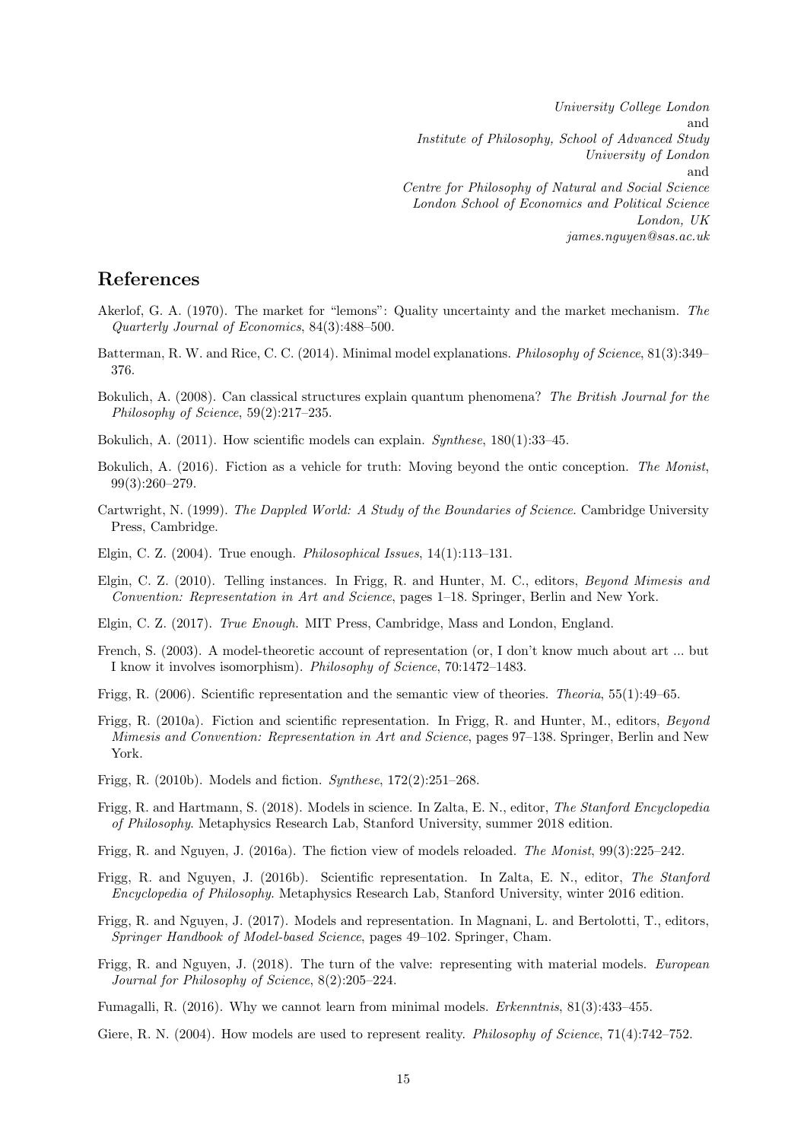University College London and Institute of Philosophy, School of Advanced Study University of London and Centre for Philosophy of Natural and Social Science London School of Economics and Political Science London, UK james.nguyen@sas.ac.uk

# References

- <span id="page-14-4"></span>Akerlof, G. A. (1970). The market for "lemons": Quality uncertainty and the market mechanism. The Quarterly Journal of Economics, 84(3):488–500.
- <span id="page-14-7"></span>Batterman, R. W. and Rice, C. C. (2014). Minimal model explanations. Philosophy of Science, 81(3):349– 376.
- <span id="page-14-16"></span>Bokulich, A. (2008). Can classical structures explain quantum phenomena? The British Journal for the Philosophy of Science, 59(2):217–235.
- <span id="page-14-17"></span>Bokulich, A. (2011). How scientific models can explain. Synthese, 180(1):33–45.
- <span id="page-14-18"></span>Bokulich, A. (2016). Fiction as a vehicle for truth: Moving beyond the ontic conception. The Monist, 99(3):260–279.
- <span id="page-14-15"></span>Cartwright, N. (1999). The Dappled World: A Study of the Boundaries of Science. Cambridge University Press, Cambridge.
- <span id="page-14-19"></span>Elgin, C. Z. (2004). True enough. Philosophical Issues, 14(1):113–131.
- <span id="page-14-12"></span>Elgin, C. Z. (2010). Telling instances. In Frigg, R. and Hunter, M. C., editors, Beyond Mimesis and Convention: Representation in Art and Science, pages 1–18. Springer, Berlin and New York.
- <span id="page-14-13"></span>Elgin, C. Z. (2017). True Enough. MIT Press, Cambridge, Mass and London, England.
- <span id="page-14-14"></span>French, S. (2003). A model-theoretic account of representation (or, I don't know much about art ... but I know it involves isomorphism). Philosophy of Science, 70:1472–1483.
- <span id="page-14-9"></span>Frigg, R. (2006). Scientific representation and the semantic view of theories. Theoria, 55(1):49–65.
- <span id="page-14-11"></span>Frigg, R. (2010a). Fiction and scientific representation. In Frigg, R. and Hunter, M., editors, Beyond Mimesis and Convention: Representation in Art and Science, pages 97–138. Springer, Berlin and New York.
- <span id="page-14-1"></span>Frigg, R. (2010b). Models and fiction. Synthese, 172(2):251–268.
- <span id="page-14-6"></span>Frigg, R. and Hartmann, S. (2018). Models in science. In Zalta, E. N., editor, The Stanford Encyclopedia of Philosophy. Metaphysics Research Lab, Stanford University, summer 2018 edition.
- <span id="page-14-2"></span>Frigg, R. and Nguyen, J. (2016a). The fiction view of models reloaded. The Monist, 99(3):225–242.
- <span id="page-14-10"></span>Frigg, R. and Nguyen, J. (2016b). Scientific representation. In Zalta, E. N., editor, The Stanford Encyclopedia of Philosophy. Metaphysics Research Lab, Stanford University, winter 2016 edition.
- <span id="page-14-5"></span>Frigg, R. and Nguyen, J. (2017). Models and representation. In Magnani, L. and Bertolotti, T., editors, Springer Handbook of Model-based Science, pages 49–102. Springer, Cham.
- <span id="page-14-3"></span>Frigg, R. and Nguyen, J. (2018). The turn of the valve: representing with material models. European Journal for Philosophy of Science, 8(2):205–224.
- <span id="page-14-8"></span>Fumagalli, R. (2016). Why we cannot learn from minimal models. Erkenntnis, 81(3):433–455.
- <span id="page-14-0"></span>Giere, R. N. (2004). How models are used to represent reality. *Philosophy of Science*, 71(4):742–752.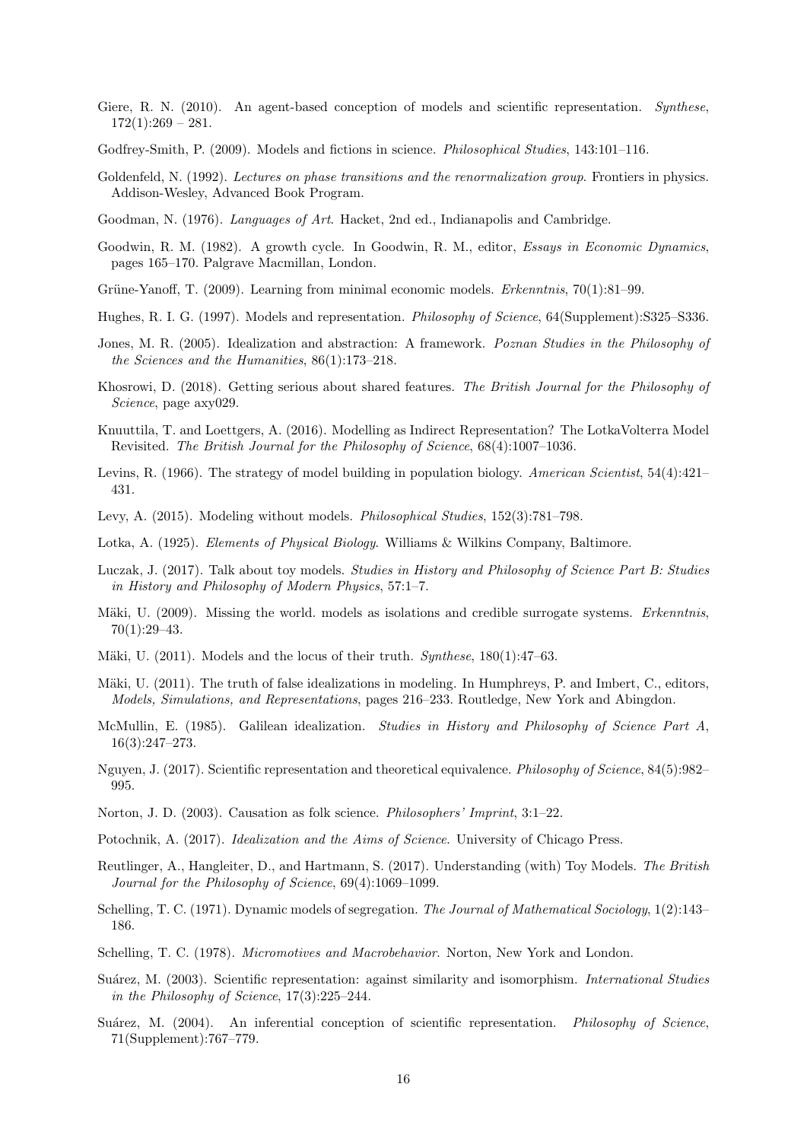- <span id="page-15-2"></span>Giere, R. N. (2010). An agent-based conception of models and scientific representation. Synthese,  $172(1):269 - 281.$
- <span id="page-15-19"></span>Godfrey-Smith, P. (2009). Models and fictions in science. *Philosophical Studies*, 143:101–116.
- <span id="page-15-25"></span>Goldenfeld, N. (1992). Lectures on phase transitions and the renormalization group. Frontiers in physics. Addison-Wesley, Advanced Book Program.
- <span id="page-15-17"></span>Goodman, N. (1976). Languages of Art. Hacket, 2nd ed., Indianapolis and Cambridge.
- <span id="page-15-23"></span>Goodwin, R. M. (1982). A growth cycle. In Goodwin, R. M., editor, *Essays in Economic Dynamics*, pages 165–170. Palgrave Macmillan, London.
- <span id="page-15-1"></span>Grüne-Yanoff, T. (2009). Learning from minimal economic models. *Erkenntnis*, 70(1):81–99.
- <span id="page-15-5"></span>Hughes, R. I. G. (1997). Models and representation. Philosophy of Science, 64(Supplement):S325–S336.
- <span id="page-15-21"></span>Jones, M. R. (2005). Idealization and abstraction: A framework. Poznan Studies in the Philosophy of the Sciences and the Humanities, 86(1):173–218.
- <span id="page-15-15"></span>Khosrowi, D. (2018). Getting serious about shared features. The British Journal for the Philosophy of Science, page axy029.
- <span id="page-15-13"></span>Knuuttila, T. and Loettgers, A. (2016). Modelling as Indirect Representation? The LotkaVolterra Model Revisited. The British Journal for the Philosophy of Science, 68(4):1007–1036.
- <span id="page-15-7"></span>Levins, R. (1966). The strategy of model building in population biology. American Scientist, 54(4):421– 431.
- <span id="page-15-18"></span>Levy, A. (2015). Modeling without models. Philosophical Studies, 152(3):781–798.
- <span id="page-15-12"></span>Lotka, A. (1925). Elements of Physical Biology. Williams & Wilkins Company, Baltimore.
- <span id="page-15-9"></span>Luczak, J. (2017). Talk about toy models. Studies in History and Philosophy of Science Part B: Studies in History and Philosophy of Modern Physics, 57:1–7.
- <span id="page-15-3"></span>Mäki, U. (2009). Missing the world. models as isolations and credible surrogate systems. Erkenntnis, 70(1):29–43.
- <span id="page-15-4"></span>Mäki, U. (2011). Models and the locus of their truth.  $Synthese$ , 180(1):47–63.
- <span id="page-15-20"></span>Mäki, U. (2011). The truth of false idealizations in modeling. In Humphreys, P. and Imbert, C., editors, Models, Simulations, and Representations, pages 216–233. Routledge, New York and Abingdon.
- <span id="page-15-22"></span>McMullin, E. (1985). Galilean idealization. Studies in History and Philosophy of Science Part A, 16(3):247–273.
- <span id="page-15-16"></span>Nguyen, J. (2017). Scientific representation and theoretical equivalence. Philosophy of Science, 84(5):982– 995.
- <span id="page-15-8"></span>Norton, J. D. (2003). Causation as folk science. Philosophers' Imprint, 3:1–22.
- <span id="page-15-24"></span>Potochnik, A. (2017). Idealization and the Aims of Science. University of Chicago Press.
- <span id="page-15-0"></span>Reutlinger, A., Hangleiter, D., and Hartmann, S. (2017). Understanding (with) Toy Models. The British Journal for the Philosophy of Science, 69(4):1069–1099.
- <span id="page-15-10"></span>Schelling, T. C. (1971). Dynamic models of segregation. The Journal of Mathematical Sociology, 1(2):143– 186.
- <span id="page-15-11"></span>Schelling, T. C. (1978). Micromotives and Macrobehavior. Norton, New York and London.
- <span id="page-15-14"></span>Suárez, M. (2003). Scientific representation: against similarity and isomorphism. *International Studies* in the Philosophy of Science, 17(3):225–244.
- <span id="page-15-6"></span>Suárez, M. (2004). An inferential conception of scientific representation. Philosophy of Science, 71(Supplement):767–779.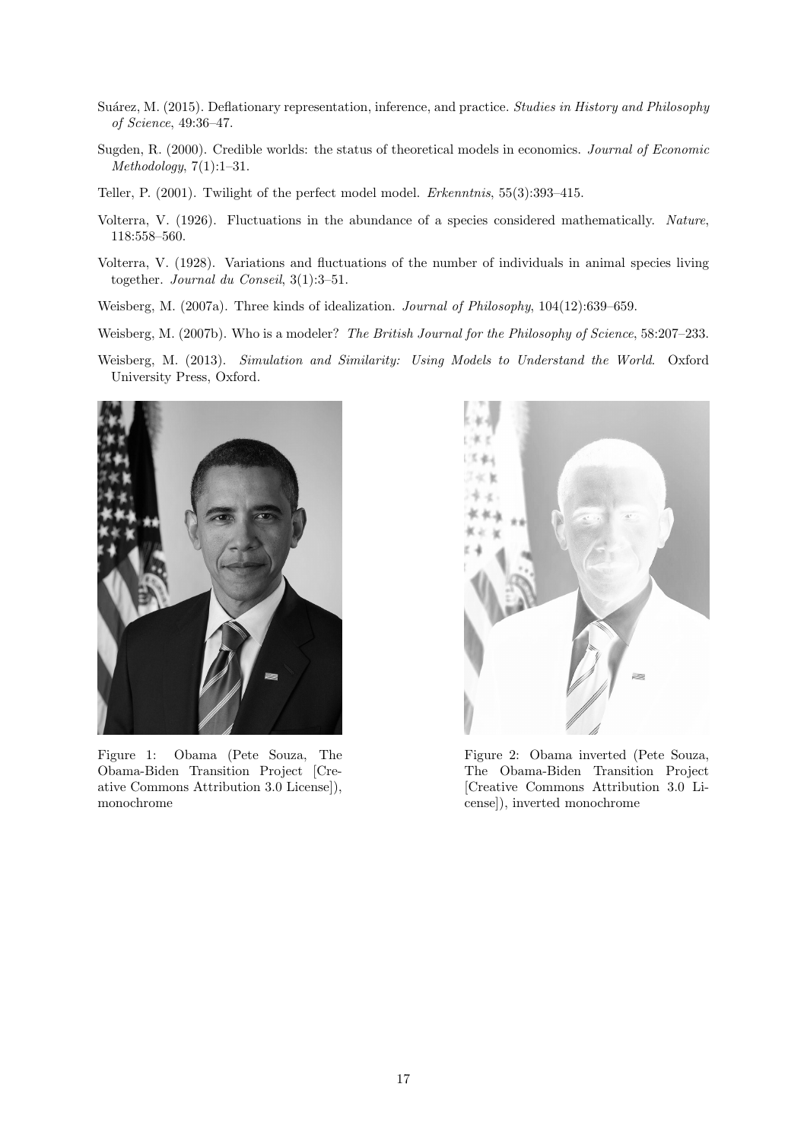- <span id="page-16-1"></span>Suárez, M. (2015). Deflationary representation, inference, and practice. Studies in History and Philosophy of Science, 49:36–47.
- <span id="page-16-5"></span>Sugden, R. (2000). Credible worlds: the status of theoretical models in economics. Journal of Economic  $Methodology, 7(1):1-31.$
- <span id="page-16-7"></span>Teller, P. (2001). Twilight of the perfect model model. Erkenntnis, 55(3):393–415.
- <span id="page-16-2"></span>Volterra, V. (1926). Fluctuations in the abundance of a species considered mathematically. Nature, 118:558–560.
- <span id="page-16-3"></span>Volterra, V. (1928). Variations and fluctuations of the number of individuals in animal species living together. Journal du Conseil, 3(1):3–51.
- <span id="page-16-8"></span>Weisberg, M. (2007a). Three kinds of idealization. Journal of Philosophy, 104(12):639–659.
- <span id="page-16-4"></span>Weisberg, M. (2007b). Who is a modeler? The British Journal for the Philosophy of Science, 58:207-233.
- <span id="page-16-0"></span>Weisberg, M. (2013). Simulation and Similarity: Using Models to Understand the World. Oxford University Press, Oxford.

<span id="page-16-6"></span>

Figure 1: Obama (Pete Souza, The Obama-Biden Transition Project [Creative Commons Attribution 3.0 License]), monochrome



Figure 2: Obama inverted (Pete Souza, The Obama-Biden Transition Project [Creative Commons Attribution 3.0 License]), inverted monochrome